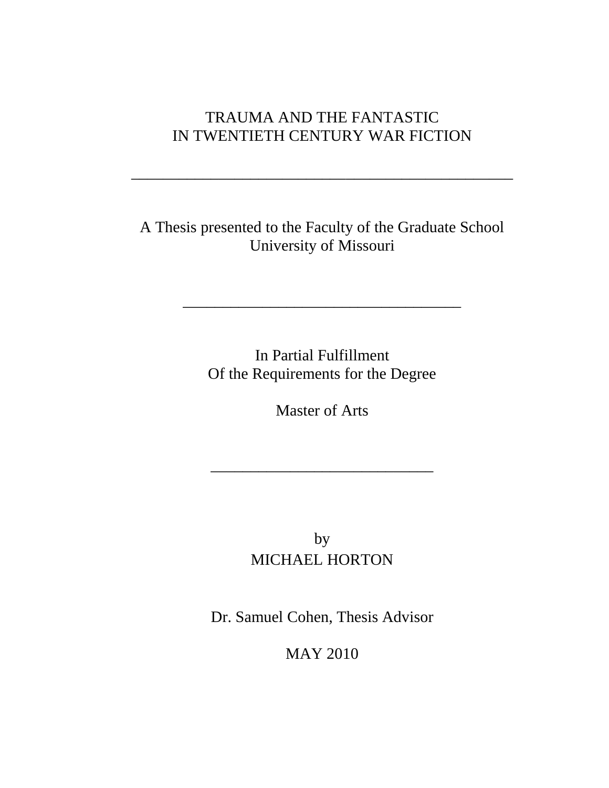# TRAUMA AND THE FANTASTIC IN TWENTIETH CENTURY WAR FICTION

\_\_\_\_\_\_\_\_\_\_\_\_\_\_\_\_\_\_\_\_\_\_\_\_\_\_\_\_\_\_\_\_\_\_\_\_\_\_\_\_\_\_\_\_\_\_\_\_

A Thesis presented to the Faculty of the Graduate School University of Missouri

> In Partial Fulfillment Of the Requirements for the Degree

\_\_\_\_\_\_\_\_\_\_\_\_\_\_\_\_\_\_\_\_\_\_\_\_\_\_\_\_\_\_\_\_\_\_\_

Master of Arts

\_\_\_\_\_\_\_\_\_\_\_\_\_\_\_\_\_\_\_\_\_\_\_\_\_\_\_\_

by MICHAEL HORTON

Dr. Samuel Cohen, Thesis Advisor

MAY 2010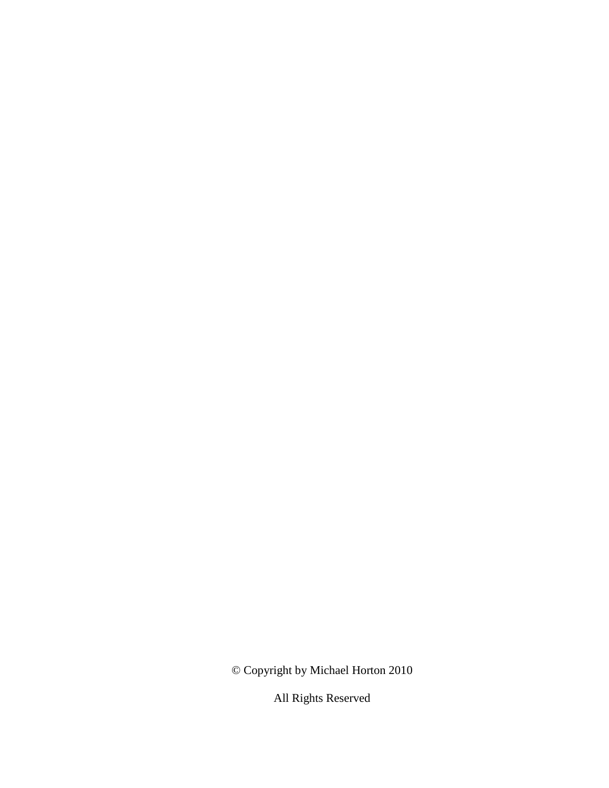© Copyright by Michael Horton 2010

All Rights Reserved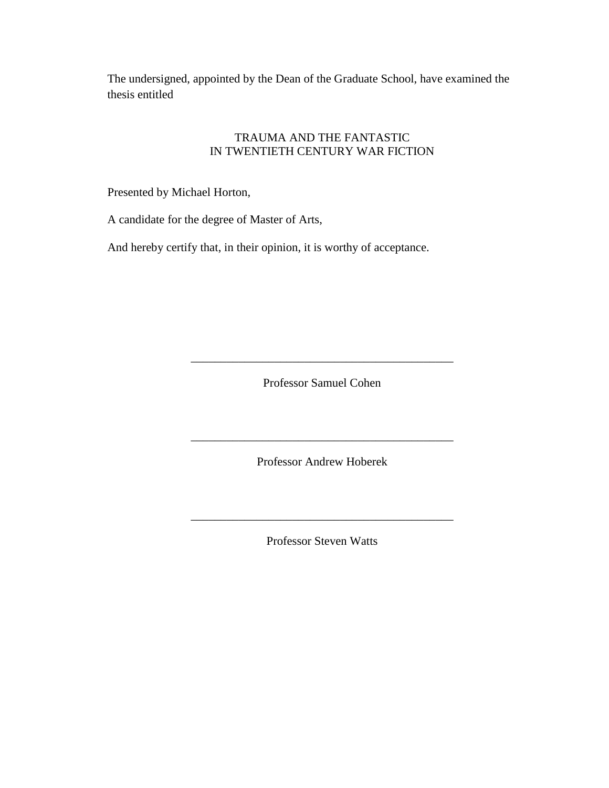The undersigned, appointed by the Dean of the Graduate School, have examined the thesis entitled

### TRAUMA AND THE FANTASTIC IN TWENTIETH CENTURY WAR FICTION

Presented by Michael Horton,

A candidate for the degree of Master of Arts,

And hereby certify that, in their opinion, it is worthy of acceptance.

Professor Samuel Cohen

\_\_\_\_\_\_\_\_\_\_\_\_\_\_\_\_\_\_\_\_\_\_\_\_\_\_\_\_\_\_\_\_\_\_\_\_\_\_\_\_\_\_\_\_

Professor Andrew Hoberek

\_\_\_\_\_\_\_\_\_\_\_\_\_\_\_\_\_\_\_\_\_\_\_\_\_\_\_\_\_\_\_\_\_\_\_\_\_\_\_\_\_\_\_\_

Professor Steven Watts

\_\_\_\_\_\_\_\_\_\_\_\_\_\_\_\_\_\_\_\_\_\_\_\_\_\_\_\_\_\_\_\_\_\_\_\_\_\_\_\_\_\_\_\_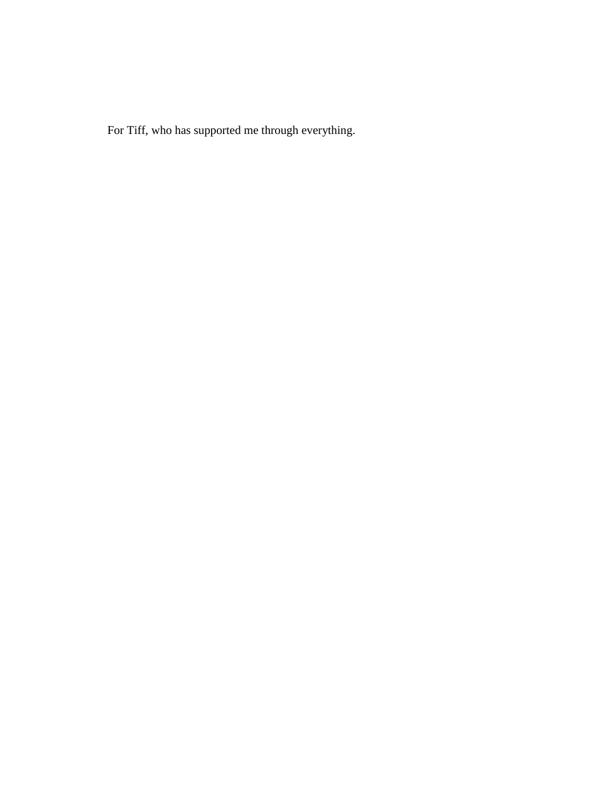For Tiff, who has supported me through everything.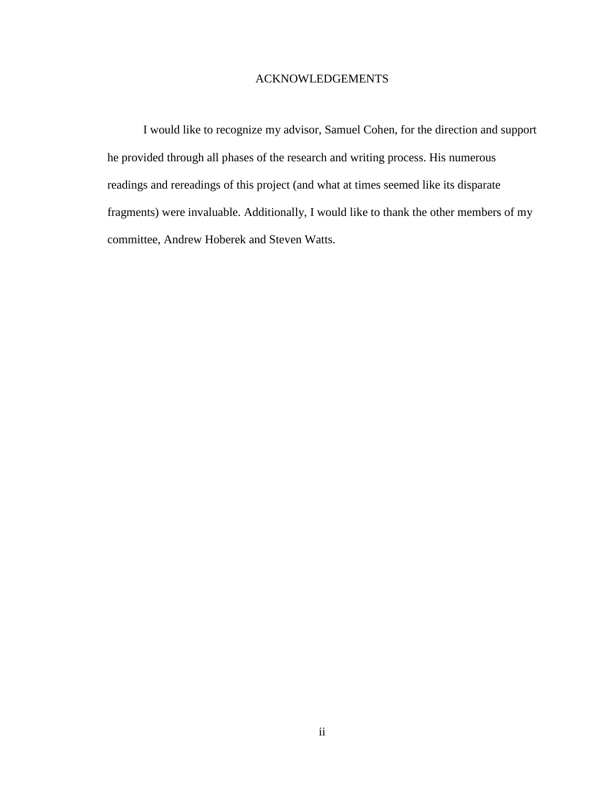### ACKNOWLEDGEMENTS

I would like to recognize my advisor, Samuel Cohen, for the direction and support he provided through all phases of the research and writing process. His numerous readings and rereadings of this project (and what at times seemed like its disparate fragments) were invaluable. Additionally, I would like to thank the other members of my committee, Andrew Hoberek and Steven Watts.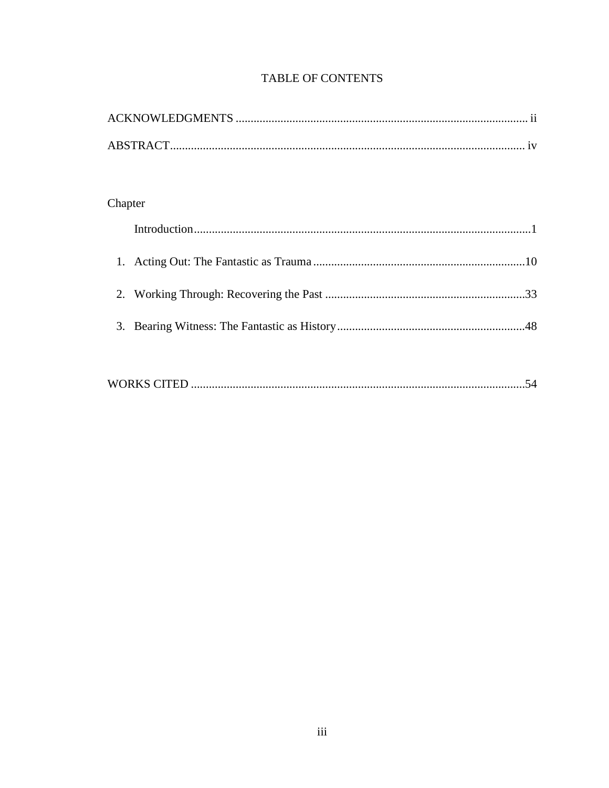| Chapter |  |  |  |  |  |
|---------|--|--|--|--|--|
|         |  |  |  |  |  |
|         |  |  |  |  |  |
|         |  |  |  |  |  |
|         |  |  |  |  |  |
| 3.      |  |  |  |  |  |
|         |  |  |  |  |  |
|         |  |  |  |  |  |

### **TABLE OF CONTENTS**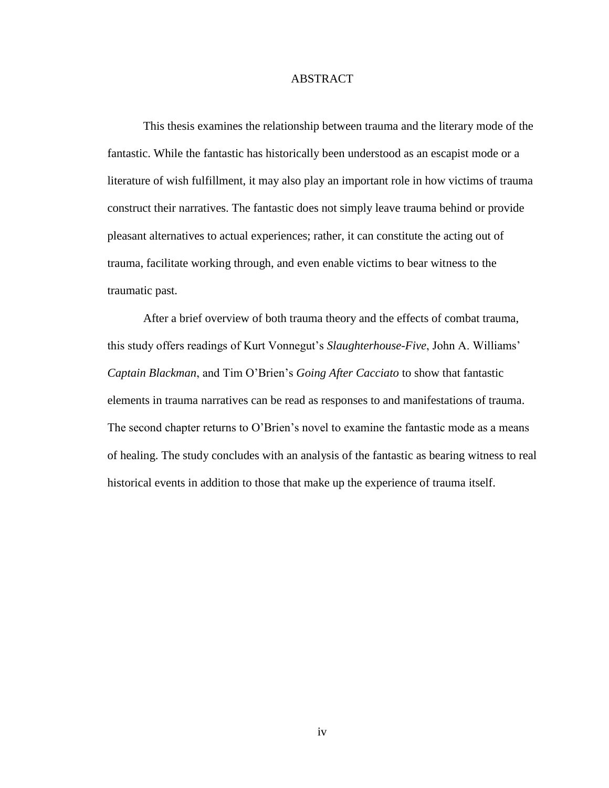#### ABSTRACT

This thesis examines the relationship between trauma and the literary mode of the fantastic. While the fantastic has historically been understood as an escapist mode or a literature of wish fulfillment, it may also play an important role in how victims of trauma construct their narratives. The fantastic does not simply leave trauma behind or provide pleasant alternatives to actual experiences; rather, it can constitute the acting out of trauma, facilitate working through, and even enable victims to bear witness to the traumatic past.

After a brief overview of both trauma theory and the effects of combat trauma, this study offers readings of Kurt Vonnegut's *Slaughterhouse-Five*, John A. Williams' *Captain Blackman*, and Tim O"Brien"s *Going After Cacciato* to show that fantastic elements in trauma narratives can be read as responses to and manifestations of trauma. The second chapter returns to O'Brien's novel to examine the fantastic mode as a means of healing. The study concludes with an analysis of the fantastic as bearing witness to real historical events in addition to those that make up the experience of trauma itself.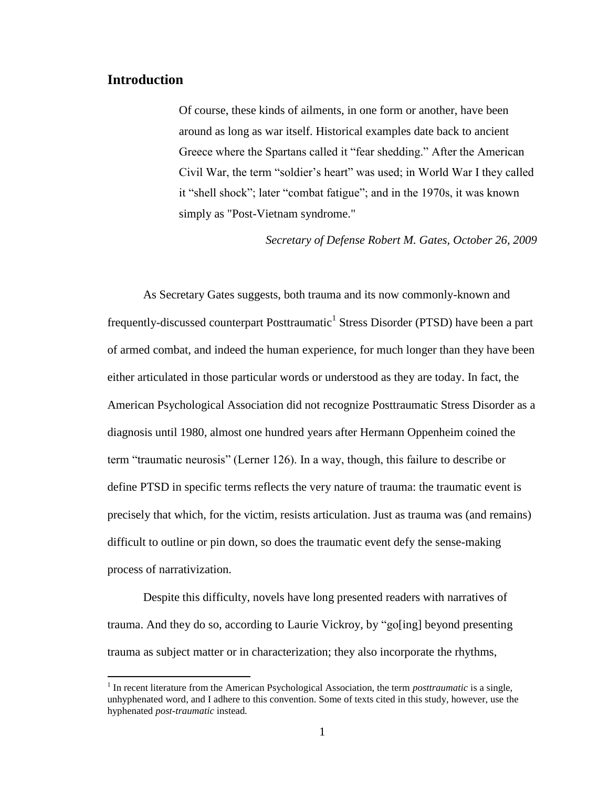## **Introduction**

 $\overline{\phantom{a}}$ 

Of course, these kinds of ailments, in one form or another, have been around as long as war itself. Historical examples date back to ancient Greece where the Spartans called it "fear shedding." After the American Civil War, the term "soldier"s heart" was used; in World War I they called it "shell shock"; later "combat fatigue"; and in the 1970s, it was known simply as "Post-Vietnam syndrome."

*Secretary of Defense Robert M. Gates, October 26, 2009*

As Secretary Gates suggests, both trauma and its now commonly-known and frequently-discussed counterpart Posttraumatic<sup>1</sup> Stress Disorder (PTSD) have been a part of armed combat, and indeed the human experience, for much longer than they have been either articulated in those particular words or understood as they are today. In fact, the American Psychological Association did not recognize Posttraumatic Stress Disorder as a diagnosis until 1980, almost one hundred years after Hermann Oppenheim coined the term "traumatic neurosis" (Lerner 126). In a way, though, this failure to describe or define PTSD in specific terms reflects the very nature of trauma: the traumatic event is precisely that which, for the victim, resists articulation. Just as trauma was (and remains) difficult to outline or pin down, so does the traumatic event defy the sense-making process of narrativization.

Despite this difficulty, novels have long presented readers with narratives of trauma. And they do so, according to Laurie Vickroy, by "go[ing] beyond presenting trauma as subject matter or in characterization; they also incorporate the rhythms,

<sup>&</sup>lt;sup>1</sup> In recent literature from the American Psychological Association, the term *posttraumatic* is a single, unhyphenated word, and I adhere to this convention. Some of texts cited in this study, however, use the hyphenated *post-traumatic* instead*.*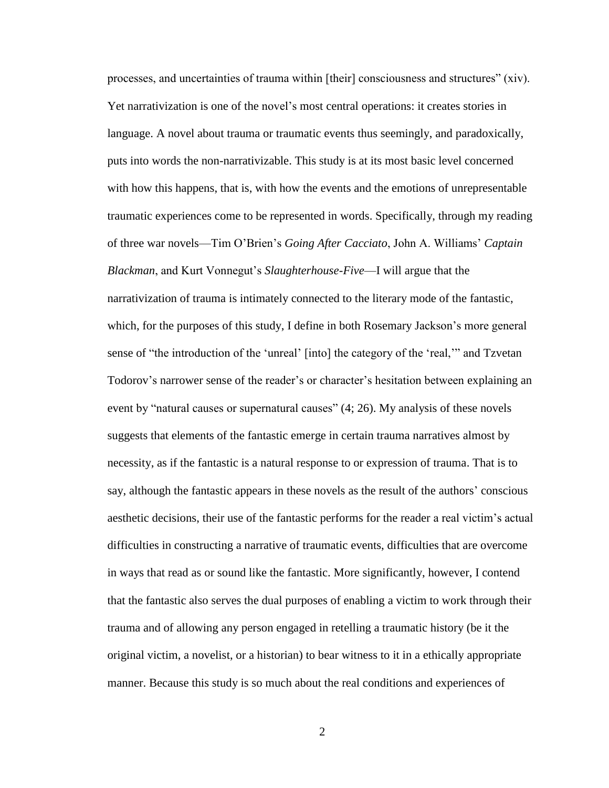processes, and uncertainties of trauma within [their] consciousness and structures" (xiv). Yet narrativization is one of the novel"s most central operations: it creates stories in language. A novel about trauma or traumatic events thus seemingly, and paradoxically, puts into words the non-narrativizable. This study is at its most basic level concerned with how this happens, that is, with how the events and the emotions of unrepresentable traumatic experiences come to be represented in words. Specifically, through my reading of three war novels—Tim O"Brien"s *Going After Cacciato*, John A. Williams" *Captain Blackman*, and Kurt Vonnegut"s *Slaughterhouse-Five*—I will argue that the narrativization of trauma is intimately connected to the literary mode of the fantastic, which, for the purposes of this study, I define in both Rosemary Jackson's more general sense of "the introduction of the "unreal" [into] the category of the "real,"" and Tzvetan Todorov's narrower sense of the reader's or character's hesitation between explaining an event by "natural causes or supernatural causes" (4; 26). My analysis of these novels suggests that elements of the fantastic emerge in certain trauma narratives almost by necessity, as if the fantastic is a natural response to or expression of trauma. That is to say, although the fantastic appears in these novels as the result of the authors" conscious aesthetic decisions, their use of the fantastic performs for the reader a real victim"s actual difficulties in constructing a narrative of traumatic events, difficulties that are overcome in ways that read as or sound like the fantastic. More significantly, however, I contend that the fantastic also serves the dual purposes of enabling a victim to work through their trauma and of allowing any person engaged in retelling a traumatic history (be it the original victim, a novelist, or a historian) to bear witness to it in a ethically appropriate manner. Because this study is so much about the real conditions and experiences of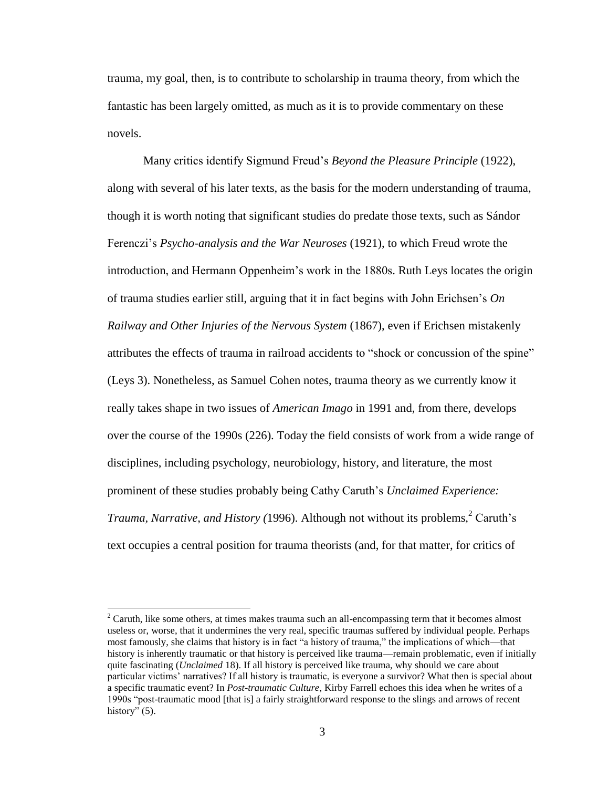trauma, my goal, then, is to contribute to scholarship in trauma theory, from which the fantastic has been largely omitted, as much as it is to provide commentary on these novels.

Many critics identify Sigmund Freud"s *Beyond the Pleasure Principle* (1922), along with several of his later texts, as the basis for the modern understanding of trauma, though it is worth noting that significant studies do predate those texts, such as Sándor Ferenczi"s *Psycho-analysis and the War Neuroses* (1921), to which Freud wrote the introduction, and Hermann Oppenheim"s work in the 1880s. Ruth Leys locates the origin of trauma studies earlier still, arguing that it in fact begins with John Erichsen"s *On Railway and Other Injuries of the Nervous System* (1867), even if Erichsen mistakenly attributes the effects of trauma in railroad accidents to "shock or concussion of the spine" (Leys 3). Nonetheless, as Samuel Cohen notes, trauma theory as we currently know it really takes shape in two issues of *American Imago* in 1991 and, from there, develops over the course of the 1990s (226). Today the field consists of work from a wide range of disciplines, including psychology, neurobiology, history, and literature, the most prominent of these studies probably being Cathy Caruth"s *Unclaimed Experience: Trauma, Narrative, and History (1996). Although not without its problems,*  $2$  Caruth's text occupies a central position for trauma theorists (and, for that matter, for critics of

 $2^2$  Caruth, like some others, at times makes trauma such an all-encompassing term that it becomes almost useless or, worse, that it undermines the very real, specific traumas suffered by individual people. Perhaps most famously, she claims that history is in fact "a history of trauma," the implications of which—that history is inherently traumatic or that history is perceived like trauma—remain problematic, even if initially quite fascinating (*Unclaimed* 18). If all history is perceived like trauma, why should we care about particular victims" narratives? If all history is traumatic, is everyone a survivor? What then is special about a specific traumatic event? In *Post-traumatic Culture*, Kirby Farrell echoes this idea when he writes of a 1990s "post-traumatic mood [that is] a fairly straightforward response to the slings and arrows of recent history" (5).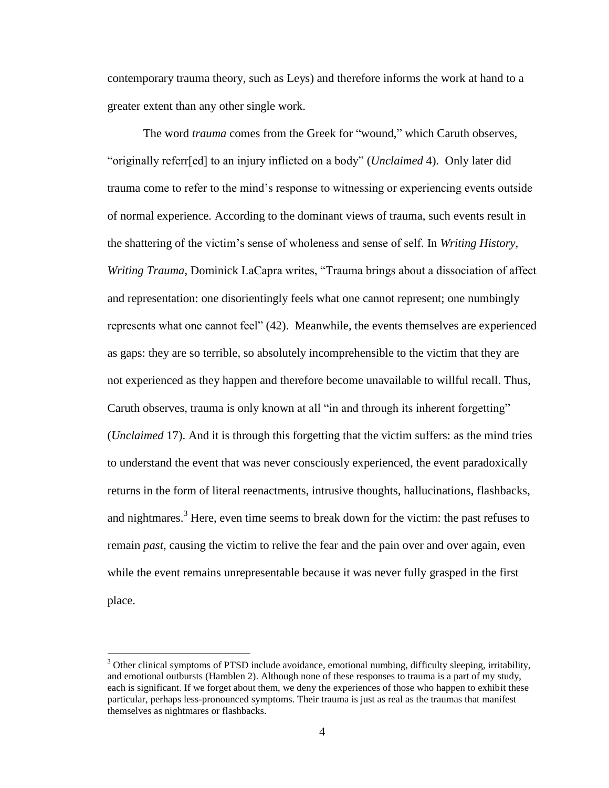contemporary trauma theory, such as Leys) and therefore informs the work at hand to a greater extent than any other single work.

The word *trauma* comes from the Greek for "wound," which Caruth observes, "originally referr[ed] to an injury inflicted on a body" (*Unclaimed* 4). Only later did trauma come to refer to the mind"s response to witnessing or experiencing events outside of normal experience. According to the dominant views of trauma, such events result in the shattering of the victim"s sense of wholeness and sense of self. In *Writing History, Writing Trauma*, Dominick LaCapra writes, "Trauma brings about a dissociation of affect and representation: one disorientingly feels what one cannot represent; one numbingly represents what one cannot feel" (42). Meanwhile, the events themselves are experienced as gaps: they are so terrible, so absolutely incomprehensible to the victim that they are not experienced as they happen and therefore become unavailable to willful recall. Thus, Caruth observes, trauma is only known at all "in and through its inherent forgetting" (*Unclaimed* 17). And it is through this forgetting that the victim suffers: as the mind tries to understand the event that was never consciously experienced, the event paradoxically returns in the form of literal reenactments, intrusive thoughts, hallucinations, flashbacks, and nightmares.<sup>3</sup> Here, even time seems to break down for the victim: the past refuses to remain *past*, causing the victim to relive the fear and the pain over and over again, even while the event remains unrepresentable because it was never fully grasped in the first place.

 $\overline{a}$ 

<sup>&</sup>lt;sup>3</sup> Other clinical symptoms of PTSD include avoidance, emotional numbing, difficulty sleeping, irritability, and emotional outbursts (Hamblen 2). Although none of these responses to trauma is a part of my study, each is significant. If we forget about them, we deny the experiences of those who happen to exhibit these particular, perhaps less-pronounced symptoms. Their trauma is just as real as the traumas that manifest themselves as nightmares or flashbacks.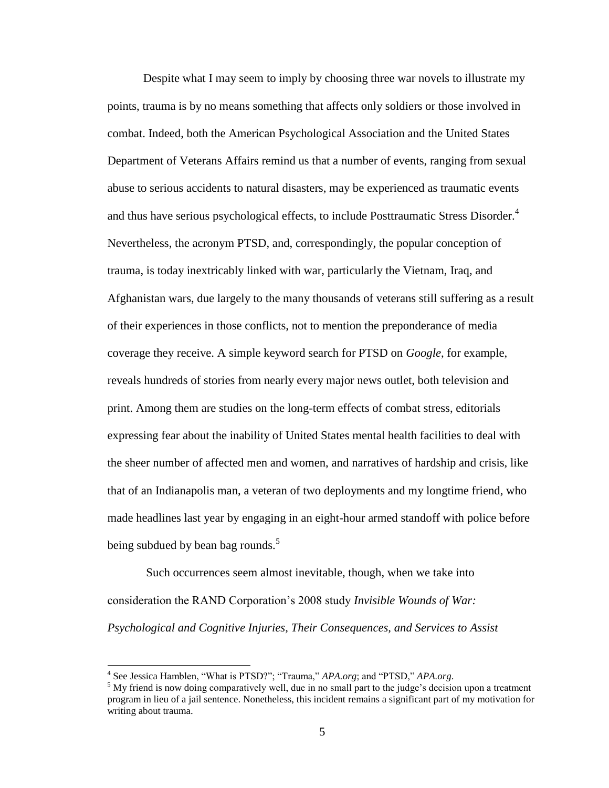Despite what I may seem to imply by choosing three war novels to illustrate my points, trauma is by no means something that affects only soldiers or those involved in combat. Indeed, both the American Psychological Association and the United States Department of Veterans Affairs remind us that a number of events, ranging from sexual abuse to serious accidents to natural disasters, may be experienced as traumatic events and thus have serious psychological effects, to include Posttraumatic Stress Disorder.<sup>4</sup> Nevertheless, the acronym PTSD, and, correspondingly, the popular conception of trauma, is today inextricably linked with war, particularly the Vietnam, Iraq, and Afghanistan wars, due largely to the many thousands of veterans still suffering as a result of their experiences in those conflicts, not to mention the preponderance of media coverage they receive. A simple keyword search for PTSD on *Google*, for example, reveals hundreds of stories from nearly every major news outlet, both television and print. Among them are studies on the long-term effects of combat stress, editorials expressing fear about the inability of United States mental health facilities to deal with the sheer number of affected men and women, and narratives of hardship and crisis, like that of an Indianapolis man, a veteran of two deployments and my longtime friend, who made headlines last year by engaging in an eight-hour armed standoff with police before being subdued by bean bag rounds. $5$ 

Such occurrences seem almost inevitable, though, when we take into consideration the RAND Corporation"s 2008 study *Invisible Wounds of War: Psychological and Cognitive Injuries, Their Consequences, and Services to Assist* 

 4 See Jessica Hamblen, "What is PTSD?"; "Trauma," *APA.org*; and "PTSD," *APA.org*.

 $5$  My friend is now doing comparatively well, due in no small part to the judge's decision upon a treatment program in lieu of a jail sentence. Nonetheless, this incident remains a significant part of my motivation for writing about trauma.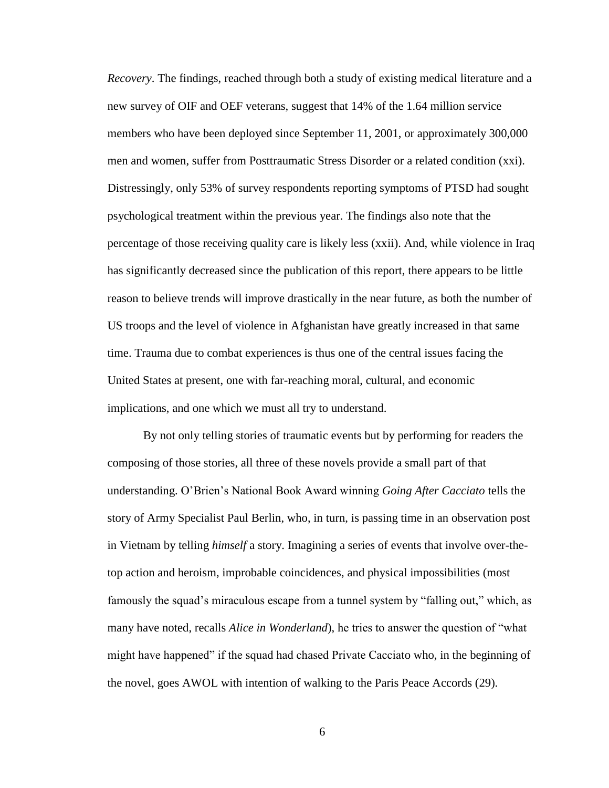*Recovery*. The findings, reached through both a study of existing medical literature and a new survey of OIF and OEF veterans, suggest that 14% of the 1.64 million service members who have been deployed since September 11, 2001, or approximately 300,000 men and women, suffer from Posttraumatic Stress Disorder or a related condition (xxi). Distressingly, only 53% of survey respondents reporting symptoms of PTSD had sought psychological treatment within the previous year. The findings also note that the percentage of those receiving quality care is likely less (xxii). And, while violence in Iraq has significantly decreased since the publication of this report, there appears to be little reason to believe trends will improve drastically in the near future, as both the number of US troops and the level of violence in Afghanistan have greatly increased in that same time. Trauma due to combat experiences is thus one of the central issues facing the United States at present, one with far-reaching moral, cultural, and economic implications, and one which we must all try to understand.

By not only telling stories of traumatic events but by performing for readers the composing of those stories, all three of these novels provide a small part of that understanding. O"Brien"s National Book Award winning *Going After Cacciato* tells the story of Army Specialist Paul Berlin, who, in turn, is passing time in an observation post in Vietnam by telling *himself* a story. Imagining a series of events that involve over-thetop action and heroism, improbable coincidences, and physical impossibilities (most famously the squad's miraculous escape from a tunnel system by "falling out," which, as many have noted, recalls *Alice in Wonderland*), he tries to answer the question of "what might have happened" if the squad had chased Private Cacciato who, in the beginning of the novel, goes AWOL with intention of walking to the Paris Peace Accords (29).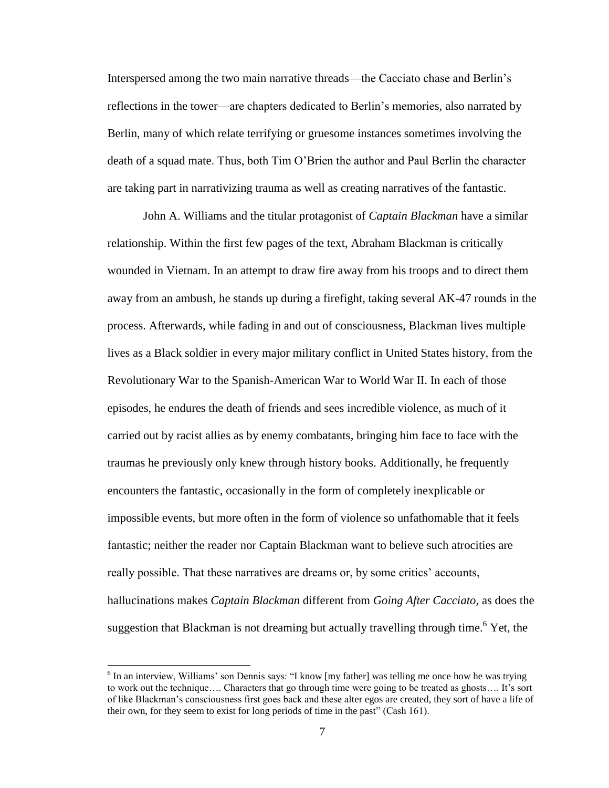Interspersed among the two main narrative threads—the Cacciato chase and Berlin"s reflections in the tower—are chapters dedicated to Berlin"s memories, also narrated by Berlin, many of which relate terrifying or gruesome instances sometimes involving the death of a squad mate. Thus, both Tim O"Brien the author and Paul Berlin the character are taking part in narrativizing trauma as well as creating narratives of the fantastic.

John A. Williams and the titular protagonist of *Captain Blackman* have a similar relationship. Within the first few pages of the text, Abraham Blackman is critically wounded in Vietnam. In an attempt to draw fire away from his troops and to direct them away from an ambush, he stands up during a firefight, taking several AK-47 rounds in the process. Afterwards, while fading in and out of consciousness, Blackman lives multiple lives as a Black soldier in every major military conflict in United States history, from the Revolutionary War to the Spanish-American War to World War II. In each of those episodes, he endures the death of friends and sees incredible violence, as much of it carried out by racist allies as by enemy combatants, bringing him face to face with the traumas he previously only knew through history books. Additionally, he frequently encounters the fantastic, occasionally in the form of completely inexplicable or impossible events, but more often in the form of violence so unfathomable that it feels fantastic; neither the reader nor Captain Blackman want to believe such atrocities are really possible. That these narratives are dreams or, by some critics' accounts, hallucinations makes *Captain Blackman* different from *Going After Cacciato,* as does the suggestion that Blackman is not dreaming but actually travelling through time.<sup>6</sup> Yet, the

<sup>&</sup>lt;sup>6</sup> In an interview, Williams' son Dennis says: "I know [my father] was telling me once how he was trying to work out the technique.... Characters that go through time were going to be treated as ghosts.... It's sort of like Blackman"s consciousness first goes back and these alter egos are created, they sort of have a life of their own, for they seem to exist for long periods of time in the past" (Cash 161).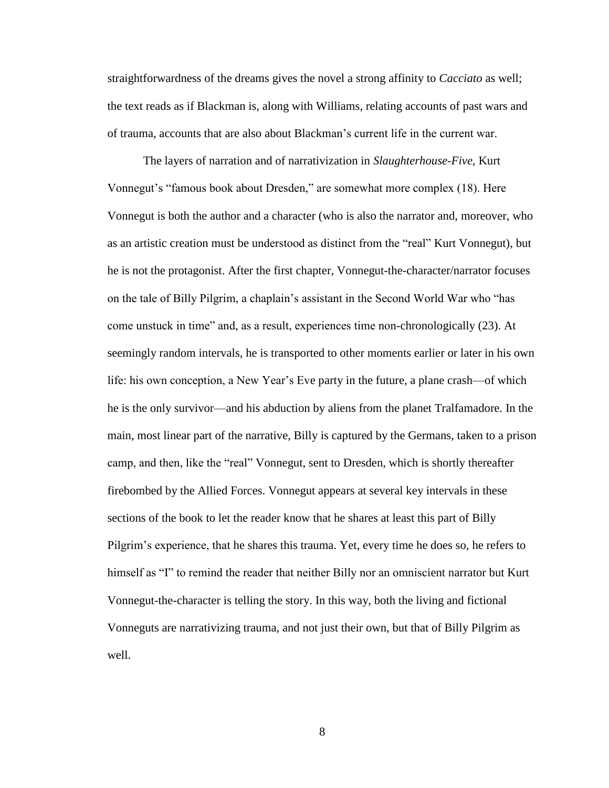straightforwardness of the dreams gives the novel a strong affinity to *Cacciato* as well; the text reads as if Blackman is, along with Williams, relating accounts of past wars and of trauma, accounts that are also about Blackman"s current life in the current war.

The layers of narration and of narrativization in *Slaughterhouse-Five*, Kurt Vonnegut's "famous book about Dresden," are somewhat more complex (18). Here Vonnegut is both the author and a character (who is also the narrator and, moreover, who as an artistic creation must be understood as distinct from the "real" Kurt Vonnegut), but he is not the protagonist. After the first chapter, Vonnegut-the-character/narrator focuses on the tale of Billy Pilgrim, a chaplain"s assistant in the Second World War who "has come unstuck in time" and, as a result, experiences time non-chronologically (23). At seemingly random intervals, he is transported to other moments earlier or later in his own life: his own conception, a New Year"s Eve party in the future, a plane crash—of which he is the only survivor—and his abduction by aliens from the planet Tralfamadore. In the main, most linear part of the narrative, Billy is captured by the Germans, taken to a prison camp, and then, like the "real" Vonnegut, sent to Dresden, which is shortly thereafter firebombed by the Allied Forces. Vonnegut appears at several key intervals in these sections of the book to let the reader know that he shares at least this part of Billy Pilgrim's experience, that he shares this trauma. Yet, every time he does so, he refers to himself as "I" to remind the reader that neither Billy nor an omniscient narrator but Kurt Vonnegut-the-character is telling the story. In this way, both the living and fictional Vonneguts are narrativizing trauma, and not just their own, but that of Billy Pilgrim as well.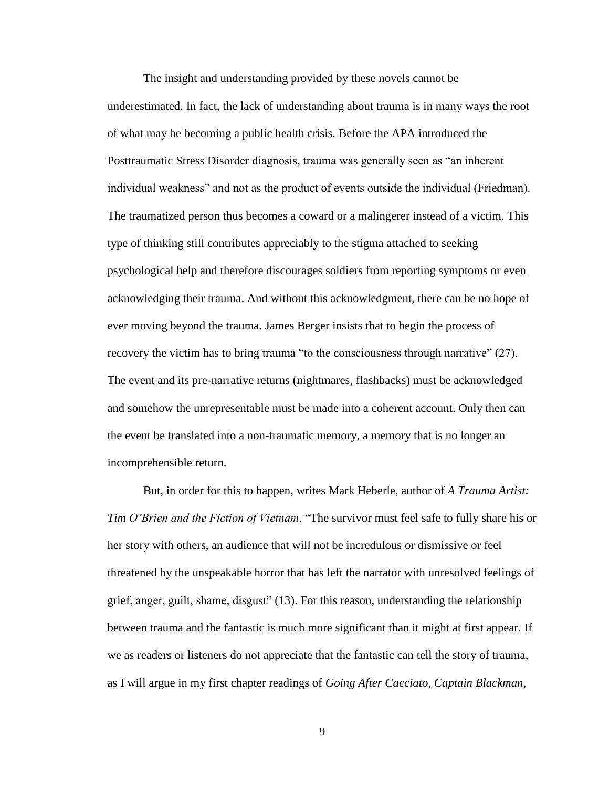The insight and understanding provided by these novels cannot be underestimated. In fact, the lack of understanding about trauma is in many ways the root of what may be becoming a public health crisis. Before the APA introduced the Posttraumatic Stress Disorder diagnosis, trauma was generally seen as "an inherent individual weakness" and not as the product of events outside the individual (Friedman). The traumatized person thus becomes a coward or a malingerer instead of a victim. This type of thinking still contributes appreciably to the stigma attached to seeking psychological help and therefore discourages soldiers from reporting symptoms or even acknowledging their trauma. And without this acknowledgment, there can be no hope of ever moving beyond the trauma. James Berger insists that to begin the process of recovery the victim has to bring trauma "to the consciousness through narrative" (27). The event and its pre-narrative returns (nightmares, flashbacks) must be acknowledged and somehow the unrepresentable must be made into a coherent account. Only then can the event be translated into a non-traumatic memory, a memory that is no longer an incomprehensible return.

But, in order for this to happen, writes Mark Heberle, author of *A Trauma Artist: Tim O'Brien and the Fiction of Vietnam*, "The survivor must feel safe to fully share his or her story with others, an audience that will not be incredulous or dismissive or feel threatened by the unspeakable horror that has left the narrator with unresolved feelings of grief, anger, guilt, shame, disgust" (13). For this reason, understanding the relationship between trauma and the fantastic is much more significant than it might at first appear. If we as readers or listeners do not appreciate that the fantastic can tell the story of trauma, as I will argue in my first chapter readings of *Going After Cacciato, Captain Blackman,*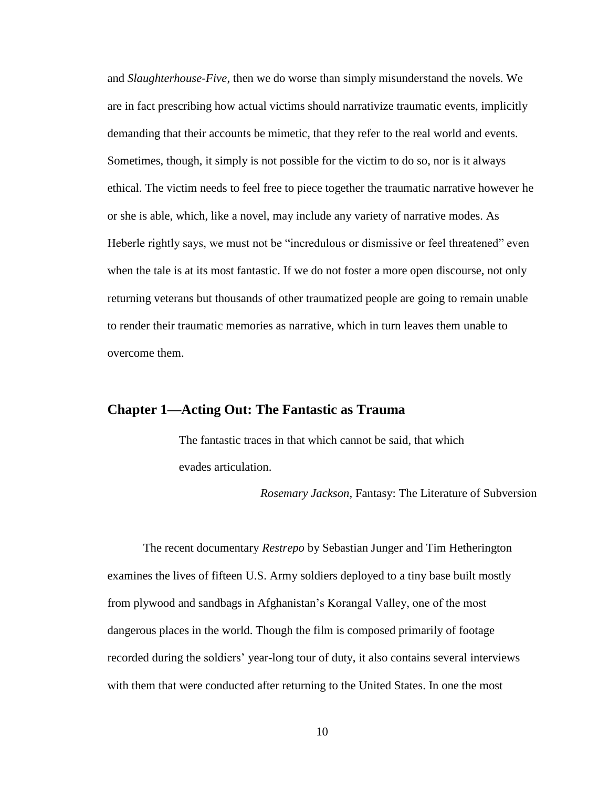and *Slaughterhouse-Five*, then we do worse than simply misunderstand the novels. We are in fact prescribing how actual victims should narrativize traumatic events, implicitly demanding that their accounts be mimetic, that they refer to the real world and events. Sometimes, though, it simply is not possible for the victim to do so, nor is it always ethical. The victim needs to feel free to piece together the traumatic narrative however he or she is able, which, like a novel, may include any variety of narrative modes. As Heberle rightly says, we must not be "incredulous or dismissive or feel threatened" even when the tale is at its most fantastic. If we do not foster a more open discourse, not only returning veterans but thousands of other traumatized people are going to remain unable to render their traumatic memories as narrative, which in turn leaves them unable to overcome them.

### **Chapter 1—Acting Out: The Fantastic as Trauma**

The fantastic traces in that which cannot be said, that which evades articulation.

*Rosemary Jackson,* Fantasy: The Literature of Subversion

The recent documentary *Restrepo* by Sebastian Junger and Tim Hetherington examines the lives of fifteen U.S. Army soldiers deployed to a tiny base built mostly from plywood and sandbags in Afghanistan"s Korangal Valley, one of the most dangerous places in the world. Though the film is composed primarily of footage recorded during the soldiers" year-long tour of duty, it also contains several interviews with them that were conducted after returning to the United States. In one the most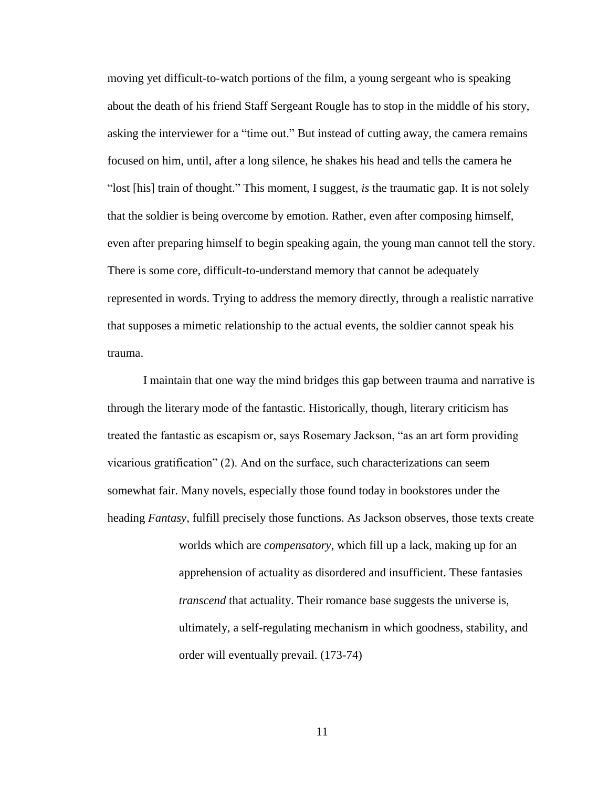moving yet difficult-to-watch portions of the film, a young sergeant who is speaking about the death of his friend Staff Sergeant Rougle has to stop in the middle of his story, asking the interviewer for a "time out." But instead of cutting away, the camera remains focused on him, until, after a long silence, he shakes his head and tells the camera he "lost [his] train of thought." This moment, I suggest, *is* the traumatic gap. It is not solely that the soldier is being overcome by emotion. Rather, even after composing himself, even after preparing himself to begin speaking again, the young man cannot tell the story. There is some core, difficult-to-understand memory that cannot be adequately represented in words. Trying to address the memory directly, through a realistic narrative that supposes a mimetic relationship to the actual events, the soldier cannot speak his trauma.

I maintain that one way the mind bridges this gap between trauma and narrative is through the literary mode of the fantastic. Historically, though, literary criticism has treated the fantastic as escapism or, says Rosemary Jackson, "as an art form providing vicarious gratification" (2). And on the surface, such characterizations can seem somewhat fair. Many novels, especially those found today in bookstores under the heading *Fantasy*, fulfill precisely those functions. As Jackson observes, those texts create worlds which are *compensatory*, which fill up a lack, making up for an apprehension of actuality as disordered and insufficient. These fantasies *transcend* that actuality. Their romance base suggests the universe is, ultimately, a self-regulating mechanism in which goodness, stability, and order will eventually prevail. (173-74)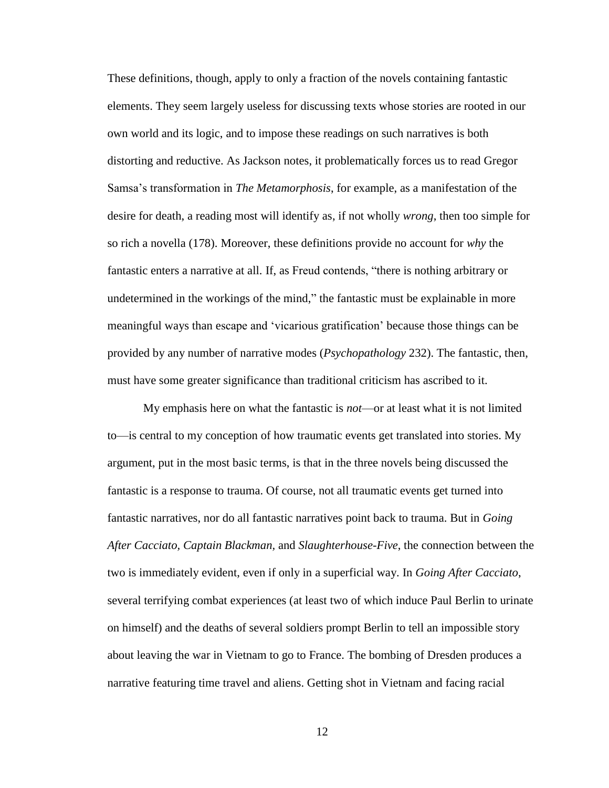These definitions, though, apply to only a fraction of the novels containing fantastic elements. They seem largely useless for discussing texts whose stories are rooted in our own world and its logic, and to impose these readings on such narratives is both distorting and reductive. As Jackson notes, it problematically forces us to read Gregor Samsa"s transformation in *The Metamorphosis*, for example, as a manifestation of the desire for death, a reading most will identify as, if not wholly *wrong*, then too simple for so rich a novella (178). Moreover, these definitions provide no account for *why* the fantastic enters a narrative at all. If, as Freud contends, "there is nothing arbitrary or undetermined in the workings of the mind," the fantastic must be explainable in more meaningful ways than escape and "vicarious gratification" because those things can be provided by any number of narrative modes (*Psychopathology* 232). The fantastic, then, must have some greater significance than traditional criticism has ascribed to it.

My emphasis here on what the fantastic is *not*—or at least what it is not limited to—is central to my conception of how traumatic events get translated into stories. My argument, put in the most basic terms, is that in the three novels being discussed the fantastic is a response to trauma. Of course, not all traumatic events get turned into fantastic narratives, nor do all fantastic narratives point back to trauma. But in *Going After Cacciato, Captain Blackman,* and *Slaughterhouse-Five*, the connection between the two is immediately evident, even if only in a superficial way. In *Going After Cacciato*, several terrifying combat experiences (at least two of which induce Paul Berlin to urinate on himself) and the deaths of several soldiers prompt Berlin to tell an impossible story about leaving the war in Vietnam to go to France. The bombing of Dresden produces a narrative featuring time travel and aliens. Getting shot in Vietnam and facing racial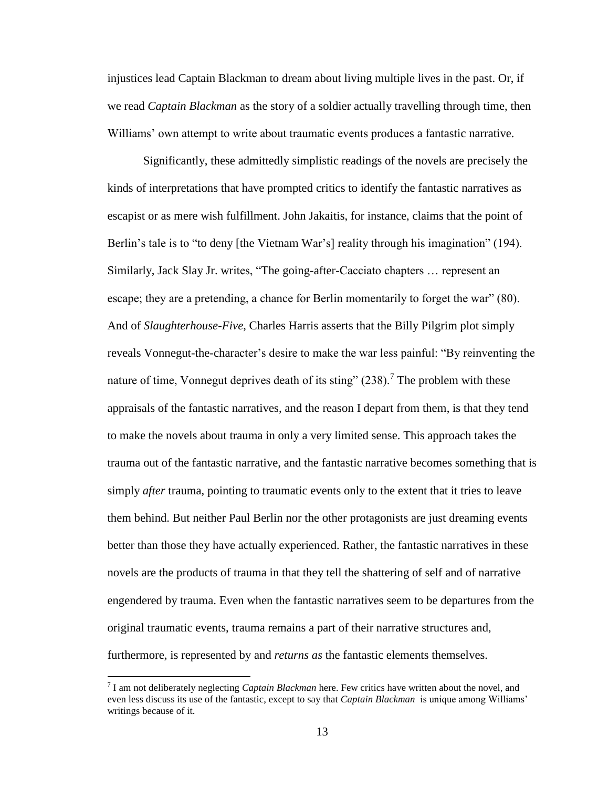injustices lead Captain Blackman to dream about living multiple lives in the past. Or, if we read *Captain Blackman* as the story of a soldier actually travelling through time, then Williams' own attempt to write about traumatic events produces a fantastic narrative.

Significantly, these admittedly simplistic readings of the novels are precisely the kinds of interpretations that have prompted critics to identify the fantastic narratives as escapist or as mere wish fulfillment. John Jakaitis, for instance, claims that the point of Berlin's tale is to "to deny [the Vietnam War's] reality through his imagination" (194). Similarly, Jack Slay Jr. writes, "The going-after-Cacciato chapters … represent an escape; they are a pretending, a chance for Berlin momentarily to forget the war" (80). And of *Slaughterhouse-Five*, Charles Harris asserts that the Billy Pilgrim plot simply reveals Vonnegut-the-character's desire to make the war less painful: "By reinventing the nature of time, Vonnegut deprives death of its sting"  $(238)$ .<sup>7</sup> The problem with these appraisals of the fantastic narratives, and the reason I depart from them, is that they tend to make the novels about trauma in only a very limited sense. This approach takes the trauma out of the fantastic narrative, and the fantastic narrative becomes something that is simply *after* trauma, pointing to traumatic events only to the extent that it tries to leave them behind. But neither Paul Berlin nor the other protagonists are just dreaming events better than those they have actually experienced. Rather, the fantastic narratives in these novels are the products of trauma in that they tell the shattering of self and of narrative engendered by trauma. Even when the fantastic narratives seem to be departures from the original traumatic events, trauma remains a part of their narrative structures and, furthermore, is represented by and *returns as* the fantastic elements themselves.

<sup>7</sup> I am not deliberately neglecting *Captain Blackman* here. Few critics have written about the novel, and even less discuss its use of the fantastic, except to say that *Captain Blackman* is unique among Williams" writings because of it.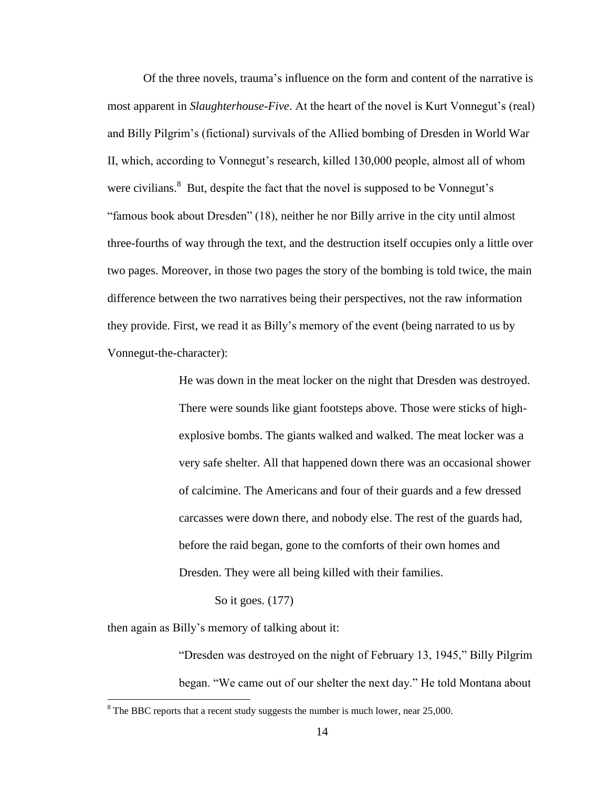Of the three novels, trauma"s influence on the form and content of the narrative is most apparent in *Slaughterhouse-Five*. At the heart of the novel is Kurt Vonnegut"s (real) and Billy Pilgrim"s (fictional) survivals of the Allied bombing of Dresden in World War II, which, according to Vonnegut's research, killed 130,000 people, almost all of whom were civilians. $8$  But, despite the fact that the novel is supposed to be Vonnegut's "famous book about Dresden" (18), neither he nor Billy arrive in the city until almost three-fourths of way through the text, and the destruction itself occupies only a little over two pages. Moreover, in those two pages the story of the bombing is told twice, the main difference between the two narratives being their perspectives, not the raw information they provide. First, we read it as Billy"s memory of the event (being narrated to us by Vonnegut-the-character):

> He was down in the meat locker on the night that Dresden was destroyed. There were sounds like giant footsteps above. Those were sticks of highexplosive bombs. The giants walked and walked. The meat locker was a very safe shelter. All that happened down there was an occasional shower of calcimine. The Americans and four of their guards and a few dressed carcasses were down there, and nobody else. The rest of the guards had, before the raid began, gone to the comforts of their own homes and Dresden. They were all being killed with their families.

> > So it goes. (177)

then again as Billy"s memory of talking about it:

 $\overline{\phantom{a}}$ 

"Dresden was destroyed on the night of February 13, 1945," Billy Pilgrim began. "We came out of our shelter the next day." He told Montana about

 $8$  The BBC reports that a recent study suggests the number is much lower, near 25,000.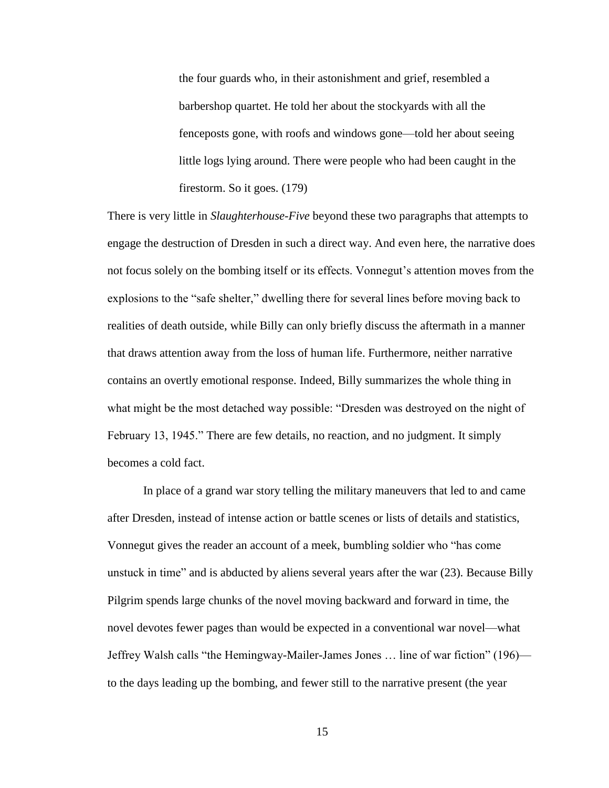the four guards who, in their astonishment and grief, resembled a barbershop quartet. He told her about the stockyards with all the fenceposts gone, with roofs and windows gone—told her about seeing little logs lying around. There were people who had been caught in the firestorm. So it goes. (179)

There is very little in *Slaughterhouse-Five* beyond these two paragraphs that attempts to engage the destruction of Dresden in such a direct way. And even here, the narrative does not focus solely on the bombing itself or its effects. Vonnegut"s attention moves from the explosions to the "safe shelter," dwelling there for several lines before moving back to realities of death outside, while Billy can only briefly discuss the aftermath in a manner that draws attention away from the loss of human life. Furthermore, neither narrative contains an overtly emotional response. Indeed, Billy summarizes the whole thing in what might be the most detached way possible: "Dresden was destroyed on the night of February 13, 1945." There are few details, no reaction, and no judgment. It simply becomes a cold fact.

In place of a grand war story telling the military maneuvers that led to and came after Dresden, instead of intense action or battle scenes or lists of details and statistics, Vonnegut gives the reader an account of a meek, bumbling soldier who "has come unstuck in time" and is abducted by aliens several years after the war (23). Because Billy Pilgrim spends large chunks of the novel moving backward and forward in time, the novel devotes fewer pages than would be expected in a conventional war novel—what Jeffrey Walsh calls "the Hemingway-Mailer-James Jones … line of war fiction" (196) to the days leading up the bombing, and fewer still to the narrative present (the year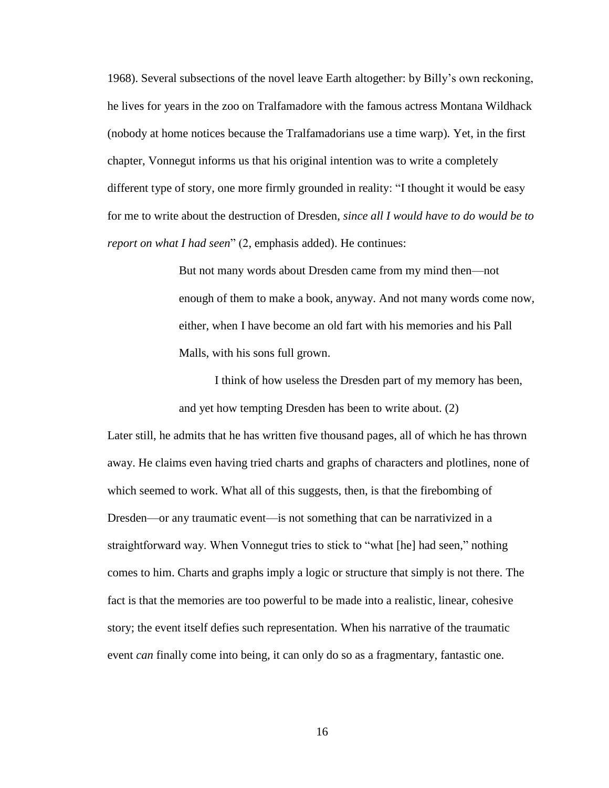1968). Several subsections of the novel leave Earth altogether: by Billy"s own reckoning, he lives for years in the zoo on Tralfamadore with the famous actress Montana Wildhack (nobody at home notices because the Tralfamadorians use a time warp). Yet, in the first chapter, Vonnegut informs us that his original intention was to write a completely different type of story, one more firmly grounded in reality: "I thought it would be easy for me to write about the destruction of Dresden, *since all I would have to do would be to report on what I had seen*" (2, emphasis added). He continues:

> But not many words about Dresden came from my mind then—not enough of them to make a book, anyway. And not many words come now, either, when I have become an old fart with his memories and his Pall Malls, with his sons full grown.

I think of how useless the Dresden part of my memory has been, and yet how tempting Dresden has been to write about. (2)

Later still, he admits that he has written five thousand pages, all of which he has thrown away. He claims even having tried charts and graphs of characters and plotlines, none of which seemed to work. What all of this suggests, then, is that the firebombing of Dresden—or any traumatic event—is not something that can be narrativized in a straightforward way. When Vonnegut tries to stick to "what [he] had seen," nothing comes to him. Charts and graphs imply a logic or structure that simply is not there. The fact is that the memories are too powerful to be made into a realistic, linear, cohesive story; the event itself defies such representation. When his narrative of the traumatic event *can* finally come into being, it can only do so as a fragmentary, fantastic one.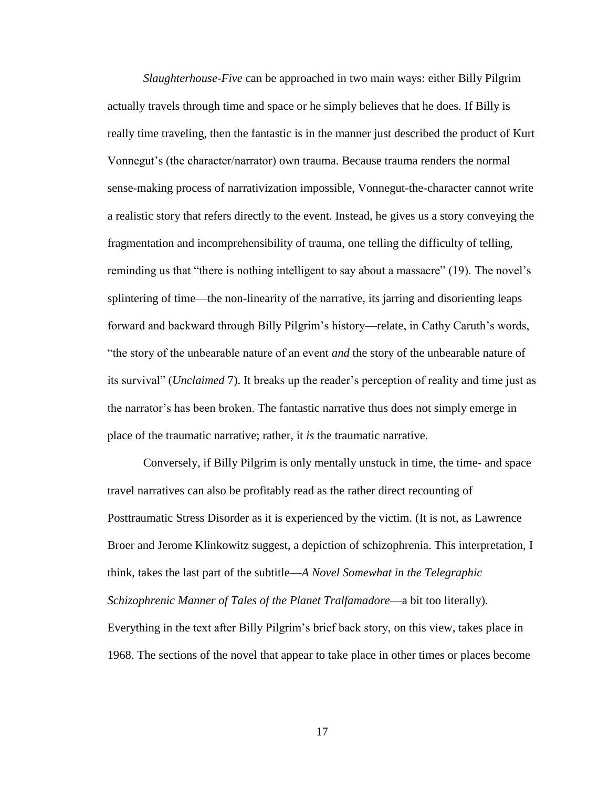*Slaughterhouse-Five* can be approached in two main ways: either Billy Pilgrim actually travels through time and space or he simply believes that he does. If Billy is really time traveling, then the fantastic is in the manner just described the product of Kurt Vonnegut"s (the character/narrator) own trauma. Because trauma renders the normal sense-making process of narrativization impossible, Vonnegut-the-character cannot write a realistic story that refers directly to the event. Instead, he gives us a story conveying the fragmentation and incomprehensibility of trauma, one telling the difficulty of telling, reminding us that "there is nothing intelligent to say about a massacre" (19). The novel's splintering of time—the non-linearity of the narrative, its jarring and disorienting leaps forward and backward through Billy Pilgrim"s history—relate, in Cathy Caruth"s words, "the story of the unbearable nature of an event *and* the story of the unbearable nature of its survival" (*Unclaimed* 7). It breaks up the reader"s perception of reality and time just as the narrator"s has been broken. The fantastic narrative thus does not simply emerge in place of the traumatic narrative; rather, it *is* the traumatic narrative.

Conversely, if Billy Pilgrim is only mentally unstuck in time, the time- and space travel narratives can also be profitably read as the rather direct recounting of Posttraumatic Stress Disorder as it is experienced by the victim. (It is not, as Lawrence Broer and Jerome Klinkowitz suggest, a depiction of schizophrenia. This interpretation, I think, takes the last part of the subtitle—*A Novel Somewhat in the Telegraphic Schizophrenic Manner of Tales of the Planet Tralfamadore*—a bit too literally). Everything in the text after Billy Pilgrim"s brief back story, on this view, takes place in 1968. The sections of the novel that appear to take place in other times or places become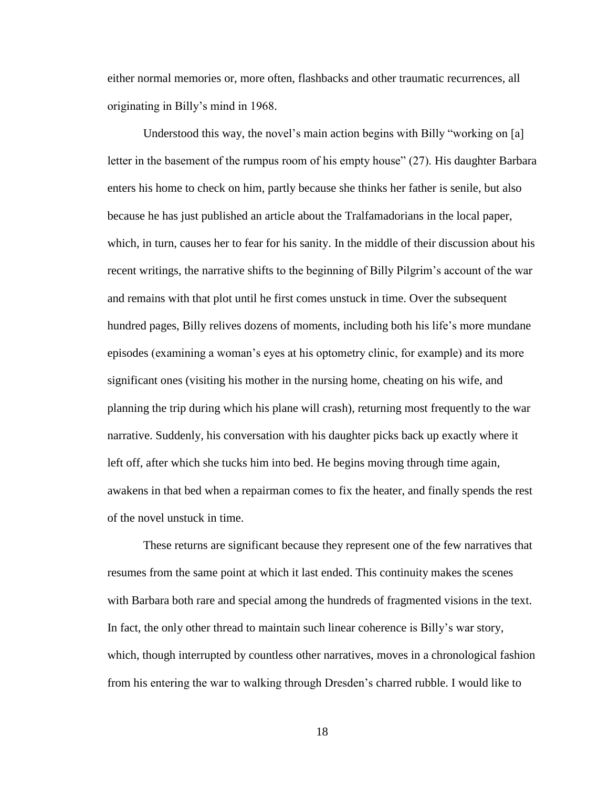either normal memories or, more often, flashbacks and other traumatic recurrences, all originating in Billy"s mind in 1968.

Understood this way, the novel's main action begins with Billy "working on [a] letter in the basement of the rumpus room of his empty house" (27). His daughter Barbara enters his home to check on him, partly because she thinks her father is senile, but also because he has just published an article about the Tralfamadorians in the local paper, which, in turn, causes her to fear for his sanity. In the middle of their discussion about his recent writings, the narrative shifts to the beginning of Billy Pilgrim"s account of the war and remains with that plot until he first comes unstuck in time. Over the subsequent hundred pages, Billy relives dozens of moments, including both his life's more mundane episodes (examining a woman"s eyes at his optometry clinic, for example) and its more significant ones (visiting his mother in the nursing home, cheating on his wife, and planning the trip during which his plane will crash), returning most frequently to the war narrative. Suddenly, his conversation with his daughter picks back up exactly where it left off, after which she tucks him into bed. He begins moving through time again, awakens in that bed when a repairman comes to fix the heater, and finally spends the rest of the novel unstuck in time.

These returns are significant because they represent one of the few narratives that resumes from the same point at which it last ended. This continuity makes the scenes with Barbara both rare and special among the hundreds of fragmented visions in the text. In fact, the only other thread to maintain such linear coherence is Billy"s war story, which, though interrupted by countless other narratives, moves in a chronological fashion from his entering the war to walking through Dresden"s charred rubble. I would like to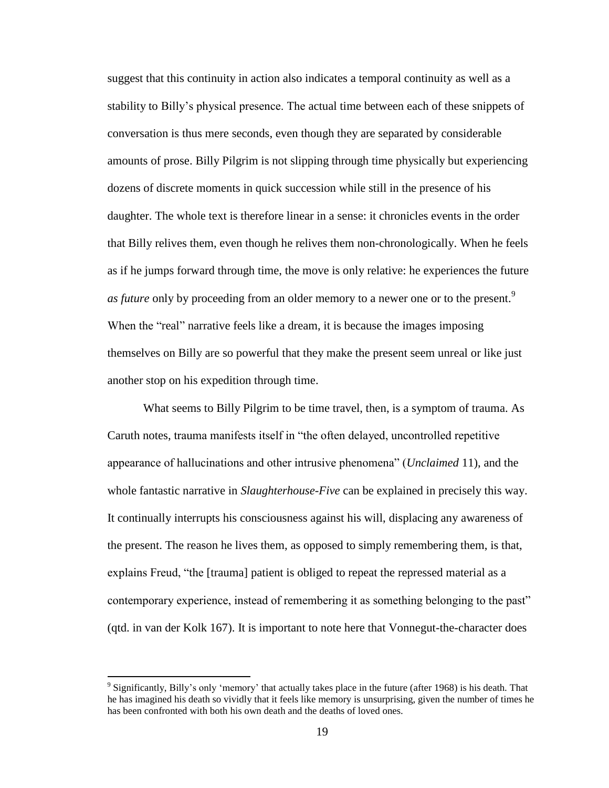suggest that this continuity in action also indicates a temporal continuity as well as a stability to Billy"s physical presence. The actual time between each of these snippets of conversation is thus mere seconds, even though they are separated by considerable amounts of prose. Billy Pilgrim is not slipping through time physically but experiencing dozens of discrete moments in quick succession while still in the presence of his daughter. The whole text is therefore linear in a sense: it chronicles events in the order that Billy relives them, even though he relives them non-chronologically. When he feels as if he jumps forward through time, the move is only relative: he experiences the future *as future* only by proceeding from an older memory to a newer one or to the present.<sup>9</sup> When the "real" narrative feels like a dream, it is because the images imposing themselves on Billy are so powerful that they make the present seem unreal or like just another stop on his expedition through time.

What seems to Billy Pilgrim to be time travel, then, is a symptom of trauma. As Caruth notes, trauma manifests itself in "the often delayed, uncontrolled repetitive appearance of hallucinations and other intrusive phenomena" (*Unclaimed* 11), and the whole fantastic narrative in *Slaughterhouse-Five* can be explained in precisely this way. It continually interrupts his consciousness against his will, displacing any awareness of the present. The reason he lives them, as opposed to simply remembering them, is that, explains Freud, "the [trauma] patient is obliged to repeat the repressed material as a contemporary experience, instead of remembering it as something belonging to the past" (qtd. in van der Kolk 167). It is important to note here that Vonnegut-the-character does

<sup>&</sup>lt;sup>9</sup> Significantly, Billy's only 'memory' that actually takes place in the future (after 1968) is his death. That he has imagined his death so vividly that it feels like memory is unsurprising, given the number of times he has been confronted with both his own death and the deaths of loved ones.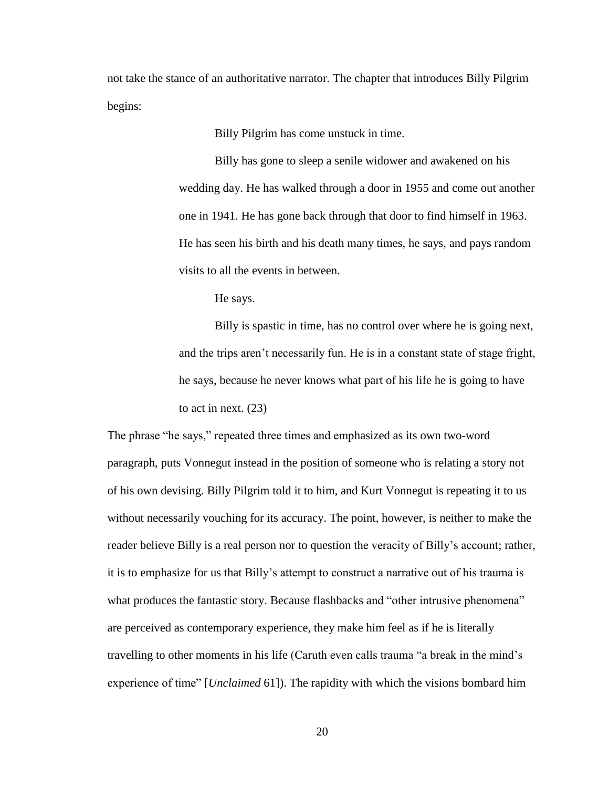not take the stance of an authoritative narrator. The chapter that introduces Billy Pilgrim begins:

Billy Pilgrim has come unstuck in time.

Billy has gone to sleep a senile widower and awakened on his wedding day. He has walked through a door in 1955 and come out another one in 1941. He has gone back through that door to find himself in 1963. He has seen his birth and his death many times, he says, and pays random visits to all the events in between.

He says.

Billy is spastic in time, has no control over where he is going next, and the trips aren"t necessarily fun. He is in a constant state of stage fright, he says, because he never knows what part of his life he is going to have to act in next. (23)

The phrase "he says," repeated three times and emphasized as its own two-word paragraph, puts Vonnegut instead in the position of someone who is relating a story not of his own devising. Billy Pilgrim told it to him, and Kurt Vonnegut is repeating it to us without necessarily vouching for its accuracy. The point, however, is neither to make the reader believe Billy is a real person nor to question the veracity of Billy's account; rather, it is to emphasize for us that Billy"s attempt to construct a narrative out of his trauma is what produces the fantastic story. Because flashbacks and "other intrusive phenomena" are perceived as contemporary experience, they make him feel as if he is literally travelling to other moments in his life (Caruth even calls trauma "a break in the mind"s experience of time" [*Unclaimed* 61]). The rapidity with which the visions bombard him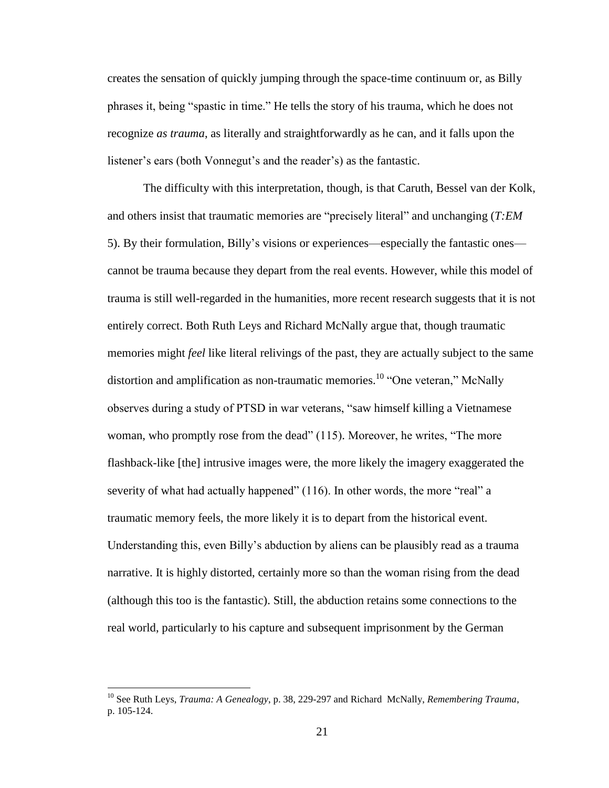creates the sensation of quickly jumping through the space-time continuum or, as Billy phrases it, being "spastic in time." He tells the story of his trauma, which he does not recognize *as trauma*, as literally and straightforwardly as he can, and it falls upon the listener's ears (both Vonnegut's and the reader's) as the fantastic.

The difficulty with this interpretation, though, is that Caruth, Bessel van der Kolk, and others insist that traumatic memories are "precisely literal" and unchanging (*T:EM*  5). By their formulation, Billy"s visions or experiences—especially the fantastic ones cannot be trauma because they depart from the real events. However, while this model of trauma is still well-regarded in the humanities, more recent research suggests that it is not entirely correct. Both Ruth Leys and Richard McNally argue that, though traumatic memories might *feel* like literal relivings of the past, they are actually subject to the same distortion and amplification as non-traumatic memories.<sup>10</sup> "One veteran," McNally observes during a study of PTSD in war veterans, "saw himself killing a Vietnamese woman, who promptly rose from the dead" (115). Moreover, he writes, "The more flashback-like [the] intrusive images were, the more likely the imagery exaggerated the severity of what had actually happened" (116). In other words, the more "real" a traumatic memory feels, the more likely it is to depart from the historical event. Understanding this, even Billy"s abduction by aliens can be plausibly read as a trauma narrative. It is highly distorted, certainly more so than the woman rising from the dead (although this too is the fantastic). Still, the abduction retains some connections to the real world, particularly to his capture and subsequent imprisonment by the German

<sup>10</sup> See Ruth Leys, *Trauma: A Genealogy*, p. 38, 229-297 and Richard McNally, *Remembering Trauma*, p. 105-124.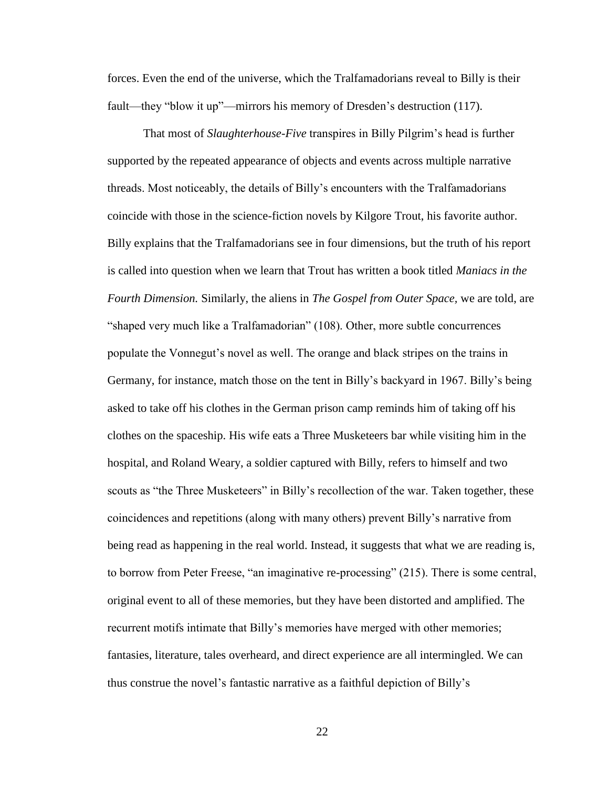forces. Even the end of the universe, which the Tralfamadorians reveal to Billy is their fault—they "blow it up"—mirrors his memory of Dresden's destruction (117).

That most of *Slaughterhouse-Five* transpires in Billy Pilgrim"s head is further supported by the repeated appearance of objects and events across multiple narrative threads. Most noticeably, the details of Billy"s encounters with the Tralfamadorians coincide with those in the science-fiction novels by Kilgore Trout, his favorite author. Billy explains that the Tralfamadorians see in four dimensions, but the truth of his report is called into question when we learn that Trout has written a book titled *Maniacs in the Fourth Dimension.* Similarly, the aliens in *The Gospel from Outer Space,* we are told, are "shaped very much like a Tralfamadorian" (108). Other, more subtle concurrences populate the Vonnegut"s novel as well. The orange and black stripes on the trains in Germany, for instance, match those on the tent in Billy"s backyard in 1967. Billy"s being asked to take off his clothes in the German prison camp reminds him of taking off his clothes on the spaceship. His wife eats a Three Musketeers bar while visiting him in the hospital, and Roland Weary, a soldier captured with Billy, refers to himself and two scouts as "the Three Musketeers" in Billy's recollection of the war. Taken together, these coincidences and repetitions (along with many others) prevent Billy"s narrative from being read as happening in the real world. Instead, it suggests that what we are reading is, to borrow from Peter Freese, "an imaginative re-processing" (215). There is some central, original event to all of these memories, but they have been distorted and amplified. The recurrent motifs intimate that Billy"s memories have merged with other memories; fantasies, literature, tales overheard, and direct experience are all intermingled. We can thus construe the novel"s fantastic narrative as a faithful depiction of Billy"s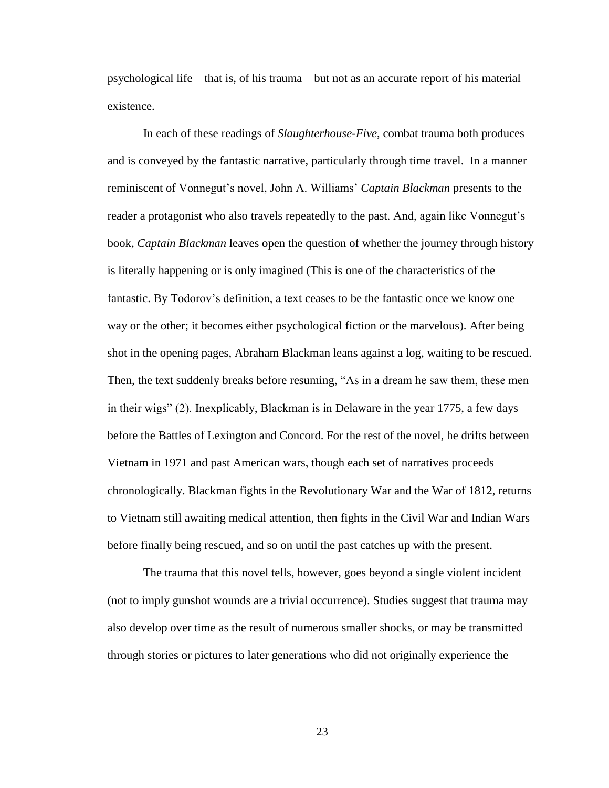psychological life—that is, of his trauma—but not as an accurate report of his material existence.

In each of these readings of *Slaughterhouse-Five*, combat trauma both produces and is conveyed by the fantastic narrative, particularly through time travel. In a manner reminiscent of Vonnegut"s novel, John A. Williams" *Captain Blackman* presents to the reader a protagonist who also travels repeatedly to the past. And, again like Vonnegut's book, *Captain Blackman* leaves open the question of whether the journey through history is literally happening or is only imagined (This is one of the characteristics of the fantastic. By Todorov"s definition, a text ceases to be the fantastic once we know one way or the other; it becomes either psychological fiction or the marvelous). After being shot in the opening pages, Abraham Blackman leans against a log, waiting to be rescued. Then, the text suddenly breaks before resuming, "As in a dream he saw them, these men in their wigs" (2). Inexplicably, Blackman is in Delaware in the year 1775, a few days before the Battles of Lexington and Concord. For the rest of the novel, he drifts between Vietnam in 1971 and past American wars, though each set of narratives proceeds chronologically. Blackman fights in the Revolutionary War and the War of 1812, returns to Vietnam still awaiting medical attention, then fights in the Civil War and Indian Wars before finally being rescued, and so on until the past catches up with the present.

The trauma that this novel tells, however, goes beyond a single violent incident (not to imply gunshot wounds are a trivial occurrence). Studies suggest that trauma may also develop over time as the result of numerous smaller shocks, or may be transmitted through stories or pictures to later generations who did not originally experience the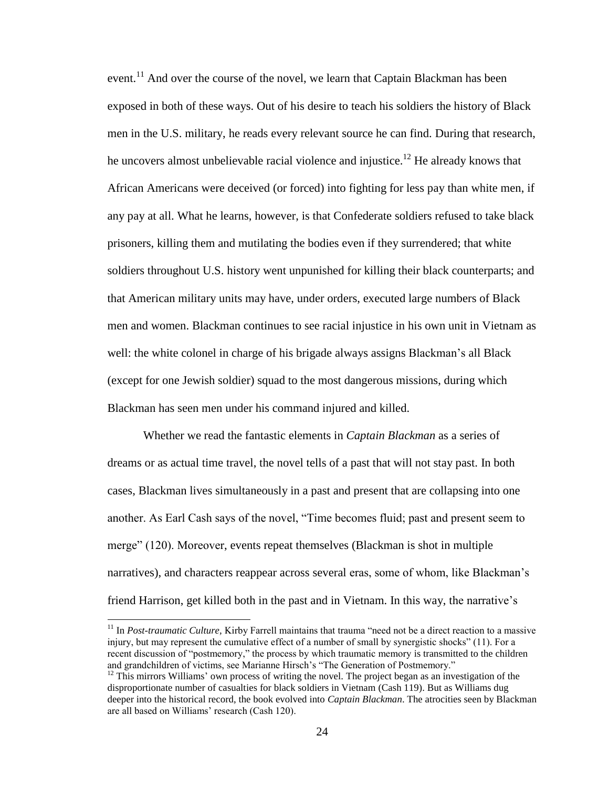event.<sup>11</sup> And over the course of the novel, we learn that Captain Blackman has been exposed in both of these ways. Out of his desire to teach his soldiers the history of Black men in the U.S. military, he reads every relevant source he can find. During that research, he uncovers almost unbelievable racial violence and injustice.<sup>12</sup> He already knows that African Americans were deceived (or forced) into fighting for less pay than white men, if any pay at all. What he learns, however, is that Confederate soldiers refused to take black prisoners, killing them and mutilating the bodies even if they surrendered; that white soldiers throughout U.S. history went unpunished for killing their black counterparts; and that American military units may have, under orders, executed large numbers of Black men and women. Blackman continues to see racial injustice in his own unit in Vietnam as well: the white colonel in charge of his brigade always assigns Blackman's all Black (except for one Jewish soldier) squad to the most dangerous missions, during which Blackman has seen men under his command injured and killed.

Whether we read the fantastic elements in *Captain Blackman* as a series of dreams or as actual time travel, the novel tells of a past that will not stay past. In both cases, Blackman lives simultaneously in a past and present that are collapsing into one another. As Earl Cash says of the novel, "Time becomes fluid; past and present seem to merge" (120). Moreover, events repeat themselves (Blackman is shot in multiple narratives), and characters reappear across several eras, some of whom, like Blackman"s friend Harrison, get killed both in the past and in Vietnam. In this way, the narrative's

 $\overline{a}$ 

<sup>&</sup>lt;sup>11</sup> In *Post-traumatic Culture*, Kirby Farrell maintains that trauma "need not be a direct reaction to a massive injury, but may represent the cumulative effect of a number of small by synergistic shocks" (11). For a recent discussion of "postmemory," the process by which traumatic memory is transmitted to the children and grandchildren of victims, see Marianne Hirsch's "The Generation of Postmemory."

 $12$  This mirrors Williams' own process of writing the novel. The project began as an investigation of the disproportionate number of casualties for black soldiers in Vietnam (Cash 119). But as Williams dug deeper into the historical record, the book evolved into *Captain Blackman*. The atrocities seen by Blackman are all based on Williams' research (Cash 120).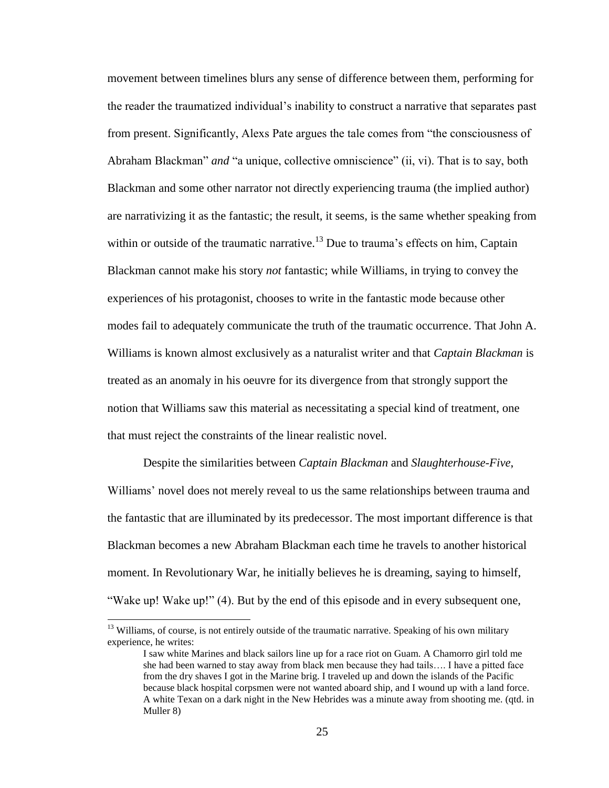movement between timelines blurs any sense of difference between them, performing for the reader the traumatized individual"s inability to construct a narrative that separates past from present. Significantly, Alexs Pate argues the tale comes from "the consciousness of Abraham Blackman" *and* "a unique, collective omniscience" (ii, vi). That is to say, both Blackman and some other narrator not directly experiencing trauma (the implied author) are narrativizing it as the fantastic; the result, it seems, is the same whether speaking from within or outside of the traumatic narrative.<sup>13</sup> Due to trauma's effects on him, Captain Blackman cannot make his story *not* fantastic; while Williams, in trying to convey the experiences of his protagonist, chooses to write in the fantastic mode because other modes fail to adequately communicate the truth of the traumatic occurrence. That John A. Williams is known almost exclusively as a naturalist writer and that *Captain Blackman* is treated as an anomaly in his oeuvre for its divergence from that strongly support the notion that Williams saw this material as necessitating a special kind of treatment, one that must reject the constraints of the linear realistic novel.

Despite the similarities between *Captain Blackman* and *Slaughterhouse-Five*, Williams' novel does not merely reveal to us the same relationships between trauma and the fantastic that are illuminated by its predecessor. The most important difference is that Blackman becomes a new Abraham Blackman each time he travels to another historical moment. In Revolutionary War, he initially believes he is dreaming, saying to himself, "Wake up! Wake up!" (4). But by the end of this episode and in every subsequent one,

 $\overline{a}$ 

<sup>&</sup>lt;sup>13</sup> Williams, of course, is not entirely outside of the traumatic narrative. Speaking of his own military experience, he writes:

I saw white Marines and black sailors line up for a race riot on Guam. A Chamorro girl told me she had been warned to stay away from black men because they had tails…. I have a pitted face from the dry shaves I got in the Marine brig. I traveled up and down the islands of the Pacific because black hospital corpsmen were not wanted aboard ship, and I wound up with a land force. A white Texan on a dark night in the New Hebrides was a minute away from shooting me. (qtd. in Muller 8)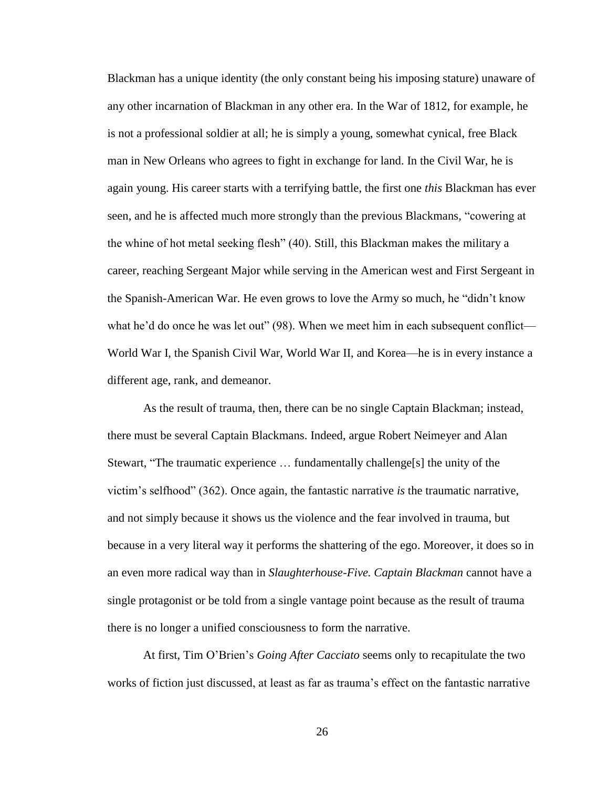Blackman has a unique identity (the only constant being his imposing stature) unaware of any other incarnation of Blackman in any other era. In the War of 1812, for example, he is not a professional soldier at all; he is simply a young, somewhat cynical, free Black man in New Orleans who agrees to fight in exchange for land. In the Civil War, he is again young. His career starts with a terrifying battle, the first one *this* Blackman has ever seen, and he is affected much more strongly than the previous Blackmans, "cowering at the whine of hot metal seeking flesh" (40). Still, this Blackman makes the military a career, reaching Sergeant Major while serving in the American west and First Sergeant in the Spanish-American War. He even grows to love the Army so much, he "didn"t know what he'd do once he was let out" (98). When we meet him in each subsequent conflict— World War I, the Spanish Civil War, World War II, and Korea—he is in every instance a different age, rank, and demeanor.

As the result of trauma, then, there can be no single Captain Blackman; instead, there must be several Captain Blackmans. Indeed, argue Robert Neimeyer and Alan Stewart, "The traumatic experience … fundamentally challenge[s] the unity of the victim"s selfhood" (362). Once again, the fantastic narrative *is* the traumatic narrative, and not simply because it shows us the violence and the fear involved in trauma, but because in a very literal way it performs the shattering of the ego. Moreover, it does so in an even more radical way than in *Slaughterhouse-Five. Captain Blackman* cannot have a single protagonist or be told from a single vantage point because as the result of trauma there is no longer a unified consciousness to form the narrative.

At first, Tim O"Brien"s *Going After Cacciato* seems only to recapitulate the two works of fiction just discussed, at least as far as trauma"s effect on the fantastic narrative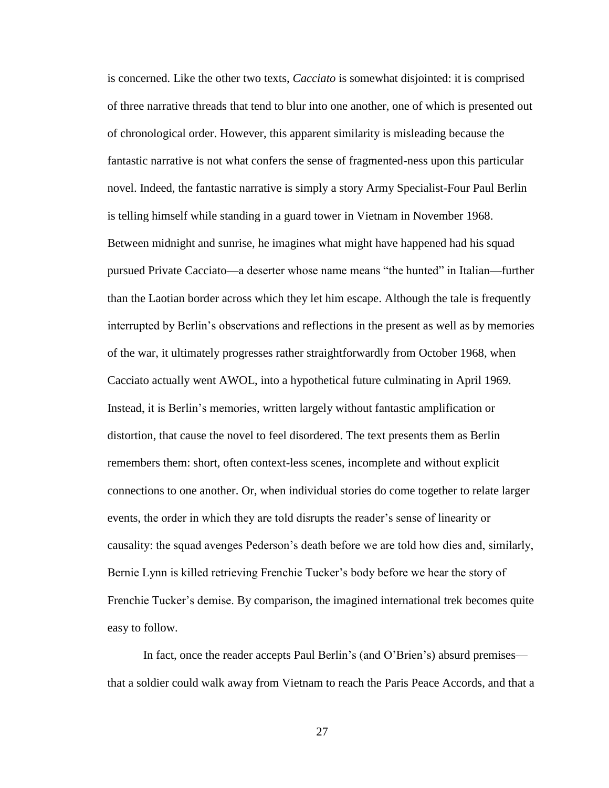is concerned. Like the other two texts, *Cacciato* is somewhat disjointed: it is comprised of three narrative threads that tend to blur into one another, one of which is presented out of chronological order. However, this apparent similarity is misleading because the fantastic narrative is not what confers the sense of fragmented-ness upon this particular novel. Indeed, the fantastic narrative is simply a story Army Specialist-Four Paul Berlin is telling himself while standing in a guard tower in Vietnam in November 1968. Between midnight and sunrise, he imagines what might have happened had his squad pursued Private Cacciato—a deserter whose name means "the hunted" in Italian—further than the Laotian border across which they let him escape. Although the tale is frequently interrupted by Berlin"s observations and reflections in the present as well as by memories of the war, it ultimately progresses rather straightforwardly from October 1968, when Cacciato actually went AWOL, into a hypothetical future culminating in April 1969. Instead, it is Berlin"s memories, written largely without fantastic amplification or distortion, that cause the novel to feel disordered. The text presents them as Berlin remembers them: short, often context-less scenes, incomplete and without explicit connections to one another. Or, when individual stories do come together to relate larger events, the order in which they are told disrupts the reader"s sense of linearity or causality: the squad avenges Pederson"s death before we are told how dies and, similarly, Bernie Lynn is killed retrieving Frenchie Tucker"s body before we hear the story of Frenchie Tucker"s demise. By comparison, the imagined international trek becomes quite easy to follow.

In fact, once the reader accepts Paul Berlin"s (and O"Brien"s) absurd premises that a soldier could walk away from Vietnam to reach the Paris Peace Accords, and that a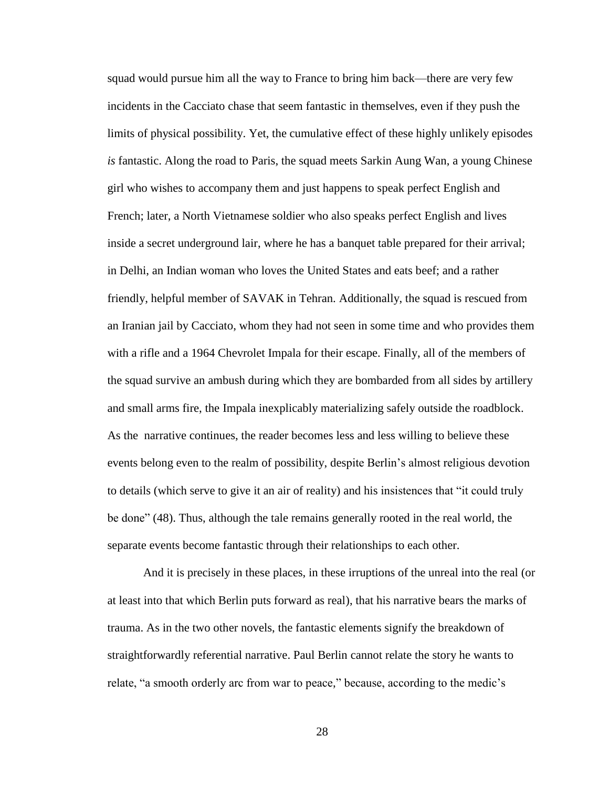squad would pursue him all the way to France to bring him back—there are very few incidents in the Cacciato chase that seem fantastic in themselves, even if they push the limits of physical possibility. Yet, the cumulative effect of these highly unlikely episodes *is* fantastic. Along the road to Paris, the squad meets Sarkin Aung Wan, a young Chinese girl who wishes to accompany them and just happens to speak perfect English and French; later, a North Vietnamese soldier who also speaks perfect English and lives inside a secret underground lair, where he has a banquet table prepared for their arrival; in Delhi, an Indian woman who loves the United States and eats beef; and a rather friendly, helpful member of SAVAK in Tehran. Additionally, the squad is rescued from an Iranian jail by Cacciato, whom they had not seen in some time and who provides them with a rifle and a 1964 Chevrolet Impala for their escape. Finally, all of the members of the squad survive an ambush during which they are bombarded from all sides by artillery and small arms fire, the Impala inexplicably materializing safely outside the roadblock. As the narrative continues, the reader becomes less and less willing to believe these events belong even to the realm of possibility, despite Berlin"s almost religious devotion to details (which serve to give it an air of reality) and his insistences that "it could truly be done" (48). Thus, although the tale remains generally rooted in the real world, the separate events become fantastic through their relationships to each other.

And it is precisely in these places, in these irruptions of the unreal into the real (or at least into that which Berlin puts forward as real), that his narrative bears the marks of trauma. As in the two other novels, the fantastic elements signify the breakdown of straightforwardly referential narrative. Paul Berlin cannot relate the story he wants to relate, "a smooth orderly arc from war to peace," because, according to the medic"s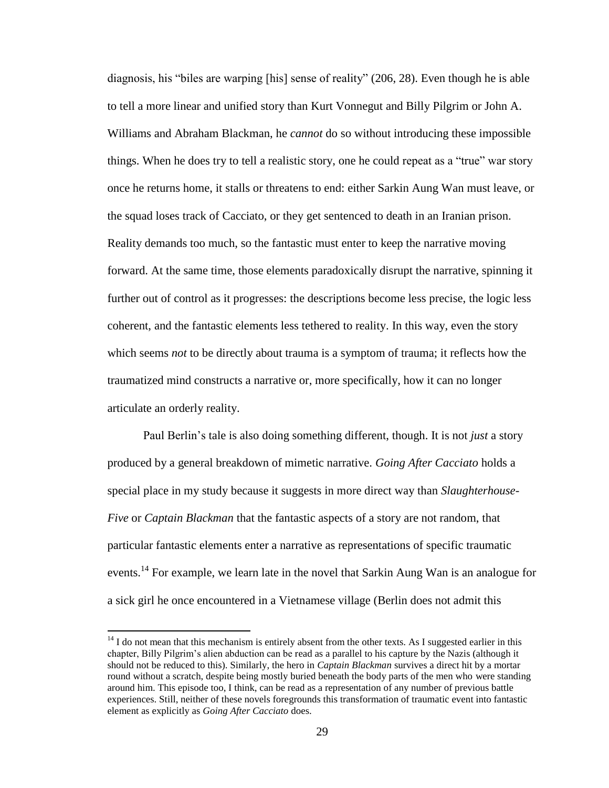diagnosis, his "biles are warping [his] sense of reality" (206, 28). Even though he is able to tell a more linear and unified story than Kurt Vonnegut and Billy Pilgrim or John A. Williams and Abraham Blackman, he *cannot* do so without introducing these impossible things. When he does try to tell a realistic story, one he could repeat as a "true" war story once he returns home, it stalls or threatens to end: either Sarkin Aung Wan must leave, or the squad loses track of Cacciato, or they get sentenced to death in an Iranian prison. Reality demands too much, so the fantastic must enter to keep the narrative moving forward. At the same time, those elements paradoxically disrupt the narrative, spinning it further out of control as it progresses: the descriptions become less precise, the logic less coherent, and the fantastic elements less tethered to reality. In this way, even the story which seems *not* to be directly about trauma is a symptom of trauma; it reflects how the traumatized mind constructs a narrative or, more specifically, how it can no longer articulate an orderly reality.

Paul Berlin"s tale is also doing something different, though. It is not *just* a story produced by a general breakdown of mimetic narrative. *Going After Cacciato* holds a special place in my study because it suggests in more direct way than *Slaughterhouse-Five* or *Captain Blackman* that the fantastic aspects of a story are not random, that particular fantastic elements enter a narrative as representations of specific traumatic events.<sup>14</sup> For example, we learn late in the novel that Sarkin Aung Wan is an analogue for a sick girl he once encountered in a Vietnamese village (Berlin does not admit this

 $14$  I do not mean that this mechanism is entirely absent from the other texts. As I suggested earlier in this chapter, Billy Pilgrim"s alien abduction can be read as a parallel to his capture by the Nazis (although it should not be reduced to this). Similarly, the hero in *Captain Blackman* survives a direct hit by a mortar round without a scratch, despite being mostly buried beneath the body parts of the men who were standing around him. This episode too, I think, can be read as a representation of any number of previous battle experiences. Still, neither of these novels foregrounds this transformation of traumatic event into fantastic element as explicitly as *Going After Cacciato* does.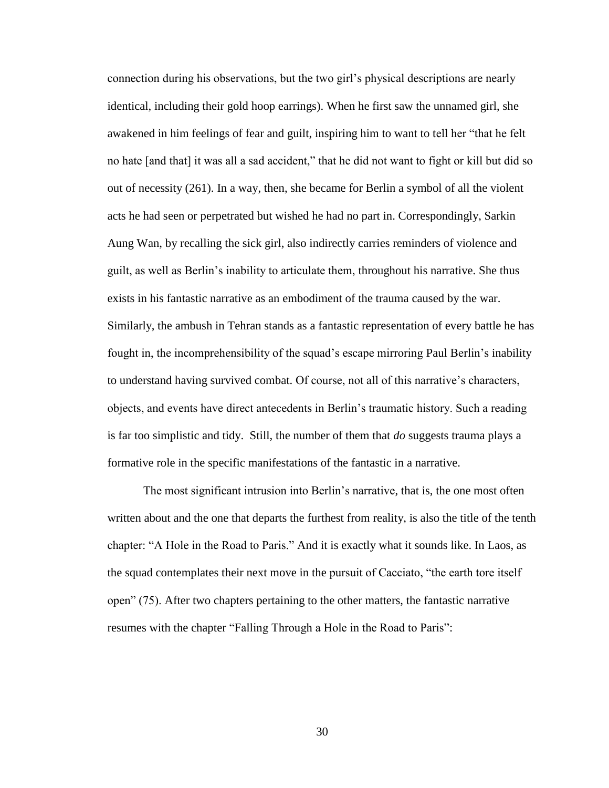connection during his observations, but the two girl"s physical descriptions are nearly identical, including their gold hoop earrings). When he first saw the unnamed girl, she awakened in him feelings of fear and guilt, inspiring him to want to tell her "that he felt no hate [and that] it was all a sad accident," that he did not want to fight or kill but did so out of necessity (261). In a way, then, she became for Berlin a symbol of all the violent acts he had seen or perpetrated but wished he had no part in. Correspondingly, Sarkin Aung Wan, by recalling the sick girl, also indirectly carries reminders of violence and guilt, as well as Berlin"s inability to articulate them, throughout his narrative. She thus exists in his fantastic narrative as an embodiment of the trauma caused by the war. Similarly, the ambush in Tehran stands as a fantastic representation of every battle he has fought in, the incomprehensibility of the squad"s escape mirroring Paul Berlin"s inability to understand having survived combat. Of course, not all of this narrative"s characters, objects, and events have direct antecedents in Berlin"s traumatic history. Such a reading is far too simplistic and tidy. Still, the number of them that *do* suggests trauma plays a formative role in the specific manifestations of the fantastic in a narrative.

The most significant intrusion into Berlin"s narrative, that is, the one most often written about and the one that departs the furthest from reality, is also the title of the tenth chapter: "A Hole in the Road to Paris." And it is exactly what it sounds like. In Laos, as the squad contemplates their next move in the pursuit of Cacciato, "the earth tore itself open" (75). After two chapters pertaining to the other matters, the fantastic narrative resumes with the chapter "Falling Through a Hole in the Road to Paris":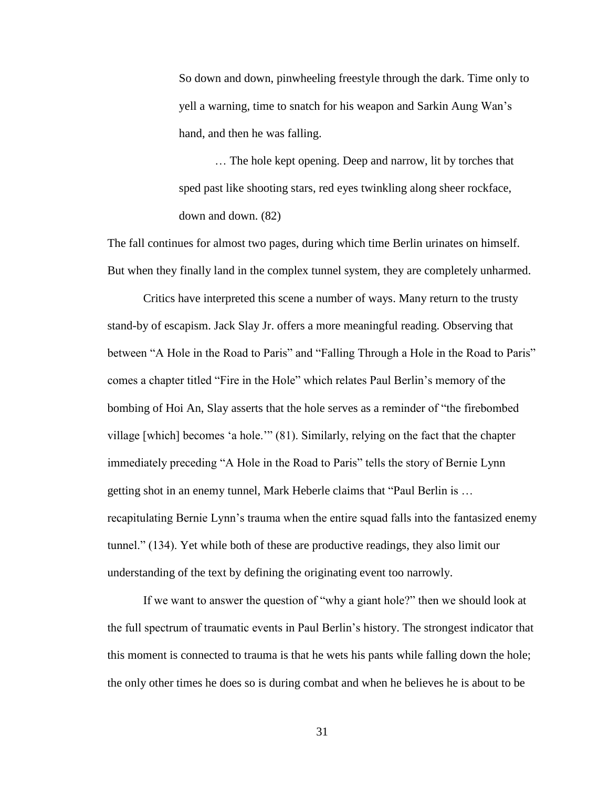So down and down, pinwheeling freestyle through the dark. Time only to yell a warning, time to snatch for his weapon and Sarkin Aung Wan"s hand, and then he was falling.

… The hole kept opening. Deep and narrow, lit by torches that sped past like shooting stars, red eyes twinkling along sheer rockface, down and down. (82)

The fall continues for almost two pages, during which time Berlin urinates on himself. But when they finally land in the complex tunnel system, they are completely unharmed.

Critics have interpreted this scene a number of ways. Many return to the trusty stand-by of escapism. Jack Slay Jr. offers a more meaningful reading. Observing that between "A Hole in the Road to Paris" and "Falling Through a Hole in the Road to Paris" comes a chapter titled "Fire in the Hole" which relates Paul Berlin"s memory of the bombing of Hoi An, Slay asserts that the hole serves as a reminder of "the firebombed village [which] becomes "a hole."" (81). Similarly, relying on the fact that the chapter immediately preceding "A Hole in the Road to Paris" tells the story of Bernie Lynn getting shot in an enemy tunnel, Mark Heberle claims that "Paul Berlin is … recapitulating Bernie Lynn"s trauma when the entire squad falls into the fantasized enemy tunnel." (134). Yet while both of these are productive readings, they also limit our understanding of the text by defining the originating event too narrowly.

If we want to answer the question of "why a giant hole?" then we should look at the full spectrum of traumatic events in Paul Berlin"s history. The strongest indicator that this moment is connected to trauma is that he wets his pants while falling down the hole; the only other times he does so is during combat and when he believes he is about to be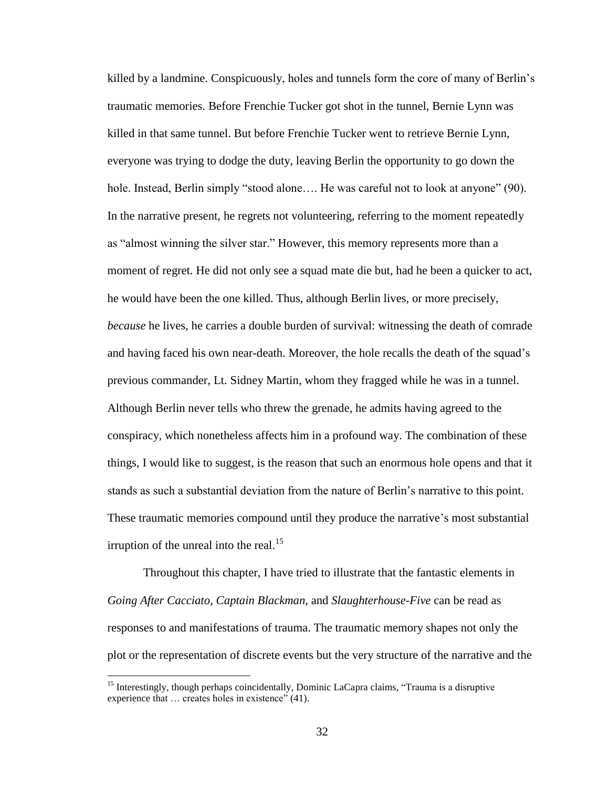killed by a landmine. Conspicuously, holes and tunnels form the core of many of Berlin"s traumatic memories. Before Frenchie Tucker got shot in the tunnel, Bernie Lynn was killed in that same tunnel. But before Frenchie Tucker went to retrieve Bernie Lynn, everyone was trying to dodge the duty, leaving Berlin the opportunity to go down the hole. Instead, Berlin simply "stood alone.... He was careful not to look at anyone" (90). In the narrative present, he regrets not volunteering, referring to the moment repeatedly as "almost winning the silver star." However, this memory represents more than a moment of regret. He did not only see a squad mate die but, had he been a quicker to act, he would have been the one killed. Thus, although Berlin lives, or more precisely, *because* he lives, he carries a double burden of survival: witnessing the death of comrade and having faced his own near-death. Moreover, the hole recalls the death of the squad"s previous commander, Lt. Sidney Martin, whom they fragged while he was in a tunnel. Although Berlin never tells who threw the grenade, he admits having agreed to the conspiracy, which nonetheless affects him in a profound way. The combination of these things, I would like to suggest, is the reason that such an enormous hole opens and that it stands as such a substantial deviation from the nature of Berlin"s narrative to this point. These traumatic memories compound until they produce the narrative"s most substantial irruption of the unreal into the real.<sup>15</sup>

Throughout this chapter, I have tried to illustrate that the fantastic elements in *Going After Cacciato*, *Captain Blackman*, and *Slaughterhouse-Five* can be read as responses to and manifestations of trauma. The traumatic memory shapes not only the plot or the representation of discrete events but the very structure of the narrative and the

<sup>&</sup>lt;sup>15</sup> Interestingly, though perhaps coincidentally, Dominic LaCapra claims, "Trauma is a disruptive experience that  $\ldots$  creates holes in existence" (41).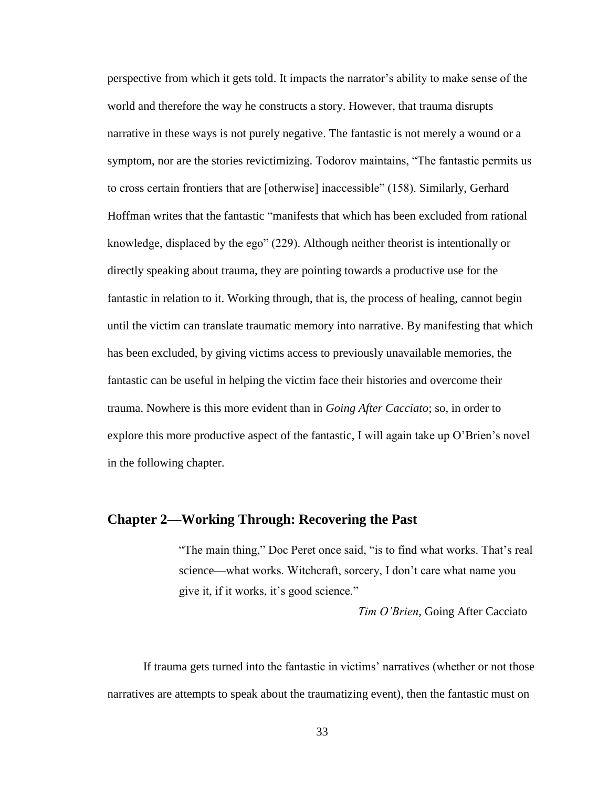perspective from which it gets told. It impacts the narrator"s ability to make sense of the world and therefore the way he constructs a story. However, that trauma disrupts narrative in these ways is not purely negative. The fantastic is not merely a wound or a symptom, nor are the stories revictimizing. Todorov maintains, "The fantastic permits us to cross certain frontiers that are [otherwise] inaccessible" (158). Similarly, Gerhard Hoffman writes that the fantastic "manifests that which has been excluded from rational knowledge, displaced by the ego" (229). Although neither theorist is intentionally or directly speaking about trauma, they are pointing towards a productive use for the fantastic in relation to it. Working through, that is, the process of healing, cannot begin until the victim can translate traumatic memory into narrative. By manifesting that which has been excluded, by giving victims access to previously unavailable memories, the fantastic can be useful in helping the victim face their histories and overcome their trauma. Nowhere is this more evident than in *Going After Cacciato*; so, in order to explore this more productive aspect of the fantastic, I will again take up O"Brien"s novel in the following chapter.

# **Chapter 2—Working Through: Recovering the Past**

"The main thing," Doc Peret once said, "is to find what works. That's real science—what works. Witchcraft, sorcery, I don"t care what name you give it, if it works, it"s good science."

*Tim O'Brien,* Going After Cacciato

If trauma gets turned into the fantastic in victims' narratives (whether or not those narratives are attempts to speak about the traumatizing event), then the fantastic must on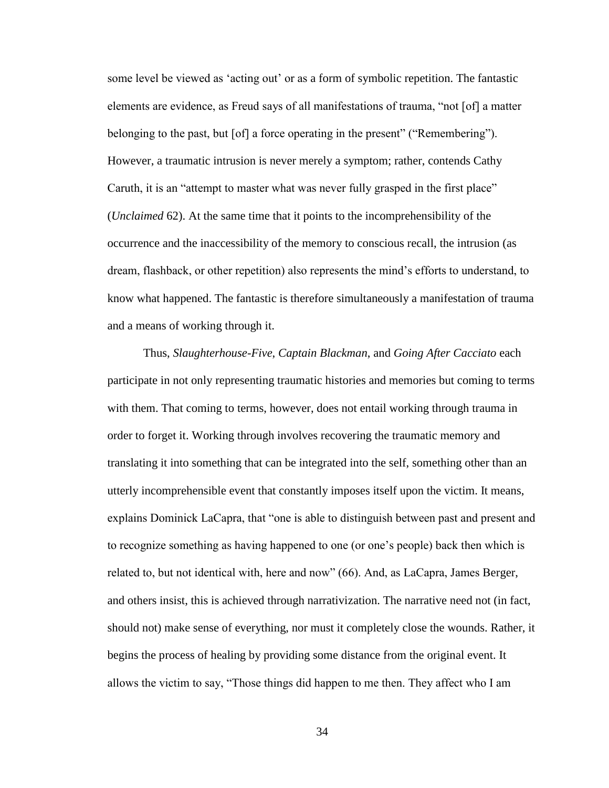some level be viewed as "acting out" or as a form of symbolic repetition. The fantastic elements are evidence, as Freud says of all manifestations of trauma, "not [of] a matter belonging to the past, but [of] a force operating in the present" ("Remembering"). However, a traumatic intrusion is never merely a symptom; rather, contends Cathy Caruth, it is an "attempt to master what was never fully grasped in the first place" (*Unclaimed* 62). At the same time that it points to the incomprehensibility of the occurrence and the inaccessibility of the memory to conscious recall, the intrusion (as dream, flashback, or other repetition) also represents the mind"s efforts to understand, to know what happened. The fantastic is therefore simultaneously a manifestation of trauma and a means of working through it.

Thus, *Slaughterhouse-Five*, *Captain Blackman*, and *Going After Cacciato* each participate in not only representing traumatic histories and memories but coming to terms with them. That coming to terms, however, does not entail working through trauma in order to forget it. Working through involves recovering the traumatic memory and translating it into something that can be integrated into the self, something other than an utterly incomprehensible event that constantly imposes itself upon the victim. It means, explains Dominick LaCapra, that "one is able to distinguish between past and present and to recognize something as having happened to one (or one"s people) back then which is related to, but not identical with, here and now" (66). And, as LaCapra, James Berger, and others insist, this is achieved through narrativization. The narrative need not (in fact, should not) make sense of everything, nor must it completely close the wounds. Rather, it begins the process of healing by providing some distance from the original event. It allows the victim to say, "Those things did happen to me then. They affect who I am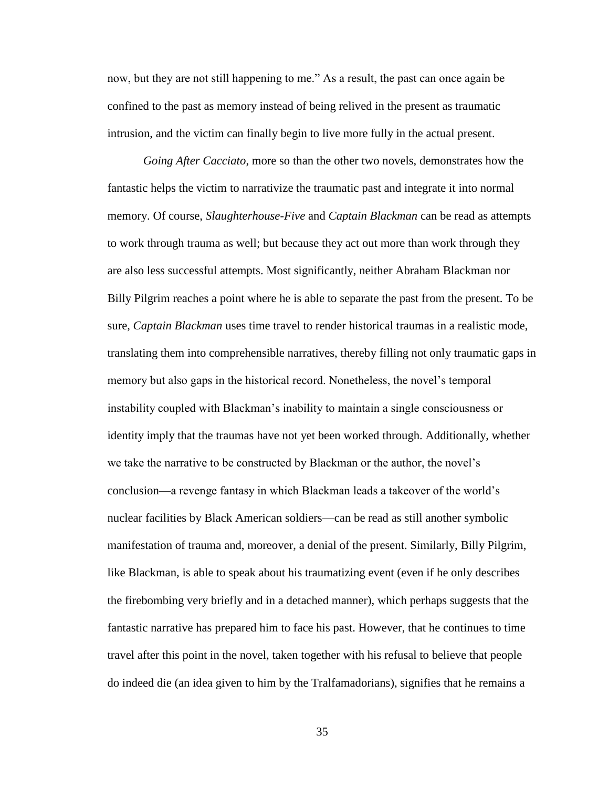now, but they are not still happening to me." As a result, the past can once again be confined to the past as memory instead of being relived in the present as traumatic intrusion, and the victim can finally begin to live more fully in the actual present.

*Going After Cacciato*, more so than the other two novels, demonstrates how the fantastic helps the victim to narrativize the traumatic past and integrate it into normal memory. Of course, *Slaughterhouse-Five* and *Captain Blackman* can be read as attempts to work through trauma as well; but because they act out more than work through they are also less successful attempts. Most significantly, neither Abraham Blackman nor Billy Pilgrim reaches a point where he is able to separate the past from the present. To be sure, *Captain Blackman* uses time travel to render historical traumas in a realistic mode, translating them into comprehensible narratives, thereby filling not only traumatic gaps in memory but also gaps in the historical record. Nonetheless, the novel"s temporal instability coupled with Blackman"s inability to maintain a single consciousness or identity imply that the traumas have not yet been worked through. Additionally, whether we take the narrative to be constructed by Blackman or the author, the novel"s conclusion—a revenge fantasy in which Blackman leads a takeover of the world"s nuclear facilities by Black American soldiers—can be read as still another symbolic manifestation of trauma and, moreover, a denial of the present. Similarly, Billy Pilgrim, like Blackman, is able to speak about his traumatizing event (even if he only describes the firebombing very briefly and in a detached manner), which perhaps suggests that the fantastic narrative has prepared him to face his past. However, that he continues to time travel after this point in the novel, taken together with his refusal to believe that people do indeed die (an idea given to him by the Tralfamadorians), signifies that he remains a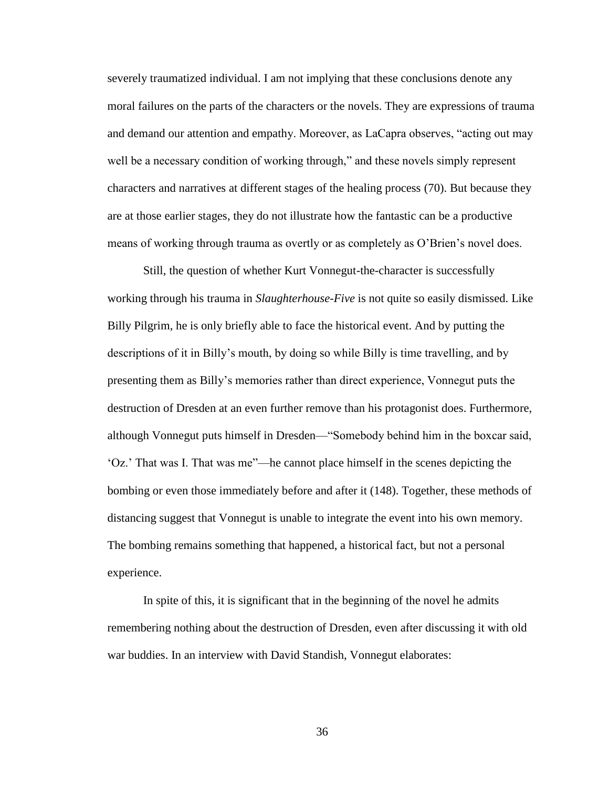severely traumatized individual. I am not implying that these conclusions denote any moral failures on the parts of the characters or the novels. They are expressions of trauma and demand our attention and empathy. Moreover, as LaCapra observes, "acting out may well be a necessary condition of working through," and these novels simply represent characters and narratives at different stages of the healing process (70). But because they are at those earlier stages, they do not illustrate how the fantastic can be a productive means of working through trauma as overtly or as completely as O'Brien's novel does.

Still, the question of whether Kurt Vonnegut-the-character is successfully working through his trauma in *Slaughterhouse-Five* is not quite so easily dismissed. Like Billy Pilgrim, he is only briefly able to face the historical event. And by putting the descriptions of it in Billy"s mouth, by doing so while Billy is time travelling, and by presenting them as Billy"s memories rather than direct experience, Vonnegut puts the destruction of Dresden at an even further remove than his protagonist does. Furthermore, although Vonnegut puts himself in Dresden—"Somebody behind him in the boxcar said, "Oz." That was I. That was me"—he cannot place himself in the scenes depicting the bombing or even those immediately before and after it (148). Together, these methods of distancing suggest that Vonnegut is unable to integrate the event into his own memory. The bombing remains something that happened, a historical fact, but not a personal experience.

In spite of this, it is significant that in the beginning of the novel he admits remembering nothing about the destruction of Dresden, even after discussing it with old war buddies. In an interview with David Standish, Vonnegut elaborates: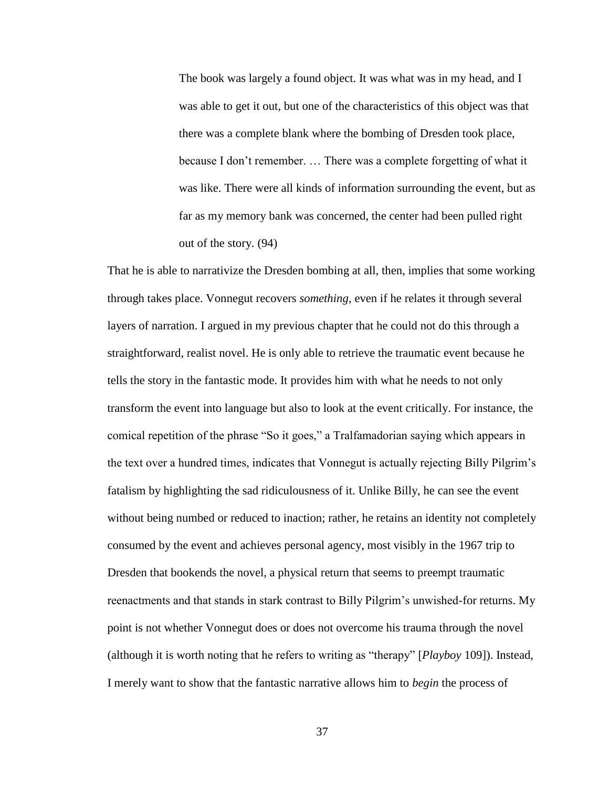The book was largely a found object. It was what was in my head, and I was able to get it out, but one of the characteristics of this object was that there was a complete blank where the bombing of Dresden took place, because I don"t remember. … There was a complete forgetting of what it was like. There were all kinds of information surrounding the event, but as far as my memory bank was concerned, the center had been pulled right out of the story. (94)

That he is able to narrativize the Dresden bombing at all, then, implies that some working through takes place. Vonnegut recovers *something*, even if he relates it through several layers of narration. I argued in my previous chapter that he could not do this through a straightforward, realist novel. He is only able to retrieve the traumatic event because he tells the story in the fantastic mode. It provides him with what he needs to not only transform the event into language but also to look at the event critically. For instance, the comical repetition of the phrase "So it goes," a Tralfamadorian saying which appears in the text over a hundred times, indicates that Vonnegut is actually rejecting Billy Pilgrim"s fatalism by highlighting the sad ridiculousness of it. Unlike Billy, he can see the event without being numbed or reduced to inaction; rather, he retains an identity not completely consumed by the event and achieves personal agency, most visibly in the 1967 trip to Dresden that bookends the novel, a physical return that seems to preempt traumatic reenactments and that stands in stark contrast to Billy Pilgrim"s unwished-for returns. My point is not whether Vonnegut does or does not overcome his trauma through the novel (although it is worth noting that he refers to writing as "therapy" [*Playboy* 109]). Instead, I merely want to show that the fantastic narrative allows him to *begin* the process of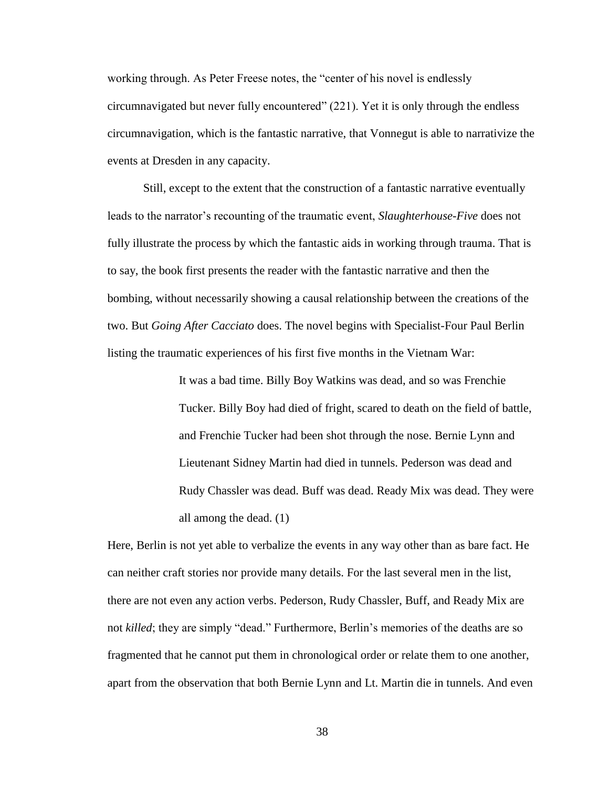working through. As Peter Freese notes, the "center of his novel is endlessly circumnavigated but never fully encountered" (221). Yet it is only through the endless circumnavigation, which is the fantastic narrative, that Vonnegut is able to narrativize the events at Dresden in any capacity.

Still, except to the extent that the construction of a fantastic narrative eventually leads to the narrator"s recounting of the traumatic event, *Slaughterhouse-Five* does not fully illustrate the process by which the fantastic aids in working through trauma. That is to say, the book first presents the reader with the fantastic narrative and then the bombing, without necessarily showing a causal relationship between the creations of the two. But *Going After Cacciato* does. The novel begins with Specialist-Four Paul Berlin listing the traumatic experiences of his first five months in the Vietnam War:

> It was a bad time. Billy Boy Watkins was dead, and so was Frenchie Tucker. Billy Boy had died of fright, scared to death on the field of battle, and Frenchie Tucker had been shot through the nose. Bernie Lynn and Lieutenant Sidney Martin had died in tunnels. Pederson was dead and Rudy Chassler was dead. Buff was dead. Ready Mix was dead. They were all among the dead. (1)

Here, Berlin is not yet able to verbalize the events in any way other than as bare fact. He can neither craft stories nor provide many details. For the last several men in the list, there are not even any action verbs. Pederson, Rudy Chassler, Buff, and Ready Mix are not *killed*; they are simply "dead." Furthermore, Berlin"s memories of the deaths are so fragmented that he cannot put them in chronological order or relate them to one another, apart from the observation that both Bernie Lynn and Lt. Martin die in tunnels. And even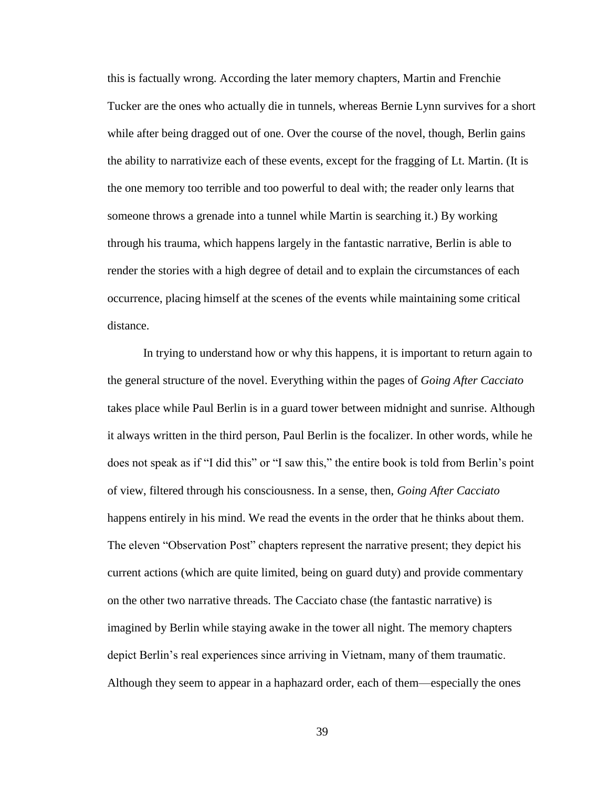this is factually wrong. According the later memory chapters, Martin and Frenchie Tucker are the ones who actually die in tunnels, whereas Bernie Lynn survives for a short while after being dragged out of one. Over the course of the novel, though, Berlin gains the ability to narrativize each of these events, except for the fragging of Lt. Martin. (It is the one memory too terrible and too powerful to deal with; the reader only learns that someone throws a grenade into a tunnel while Martin is searching it.) By working through his trauma, which happens largely in the fantastic narrative, Berlin is able to render the stories with a high degree of detail and to explain the circumstances of each occurrence, placing himself at the scenes of the events while maintaining some critical distance.

In trying to understand how or why this happens, it is important to return again to the general structure of the novel. Everything within the pages of *Going After Cacciato*  takes place while Paul Berlin is in a guard tower between midnight and sunrise. Although it always written in the third person, Paul Berlin is the focalizer. In other words, while he does not speak as if "I did this" or "I saw this," the entire book is told from Berlin"s point of view, filtered through his consciousness. In a sense, then, *Going After Cacciato*  happens entirely in his mind. We read the events in the order that he thinks about them. The eleven "Observation Post" chapters represent the narrative present; they depict his current actions (which are quite limited, being on guard duty) and provide commentary on the other two narrative threads. The Cacciato chase (the fantastic narrative) is imagined by Berlin while staying awake in the tower all night. The memory chapters depict Berlin"s real experiences since arriving in Vietnam, many of them traumatic. Although they seem to appear in a haphazard order, each of them—especially the ones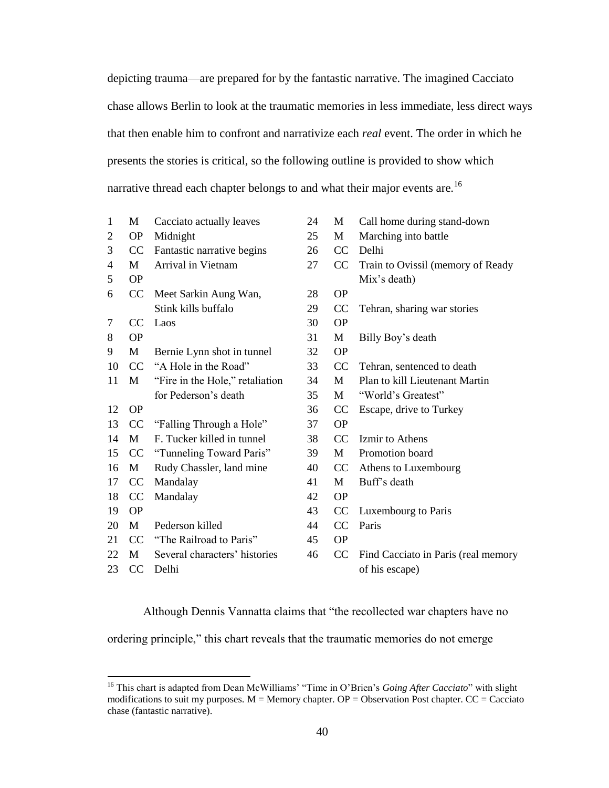depicting trauma—are prepared for by the fantastic narrative. The imagined Cacciato chase allows Berlin to look at the traumatic memories in less immediate, less direct ways that then enable him to confront and narrativize each *real* event. The order in which he presents the stories is critical, so the following outline is provided to show which narrative thread each chapter belongs to and what their major events are.<sup>16</sup>

| $\mathbf{1}$ | M             | Cacciato actually leaves        | 24 | M         | Call home during stand-down         |
|--------------|---------------|---------------------------------|----|-----------|-------------------------------------|
| 2            | <b>OP</b>     | Midnight                        | 25 | M         | Marching into battle                |
| 3            | CC            | Fantastic narrative begins      | 26 | CC        | Delhi                               |
| 4            | М             | Arrival in Vietnam              | 27 | CC        | Train to Ovissil (memory of Ready   |
| 5            | <b>OP</b>     |                                 |    |           | Mix's death)                        |
| 6            | CC            | Meet Sarkin Aung Wan,           | 28 | <b>OP</b> |                                     |
|              |               | Stink kills buffalo             | 29 | CC        | Tehran, sharing war stories         |
| $\tau$       | <b>CC</b>     | Laos                            | 30 | <b>OP</b> |                                     |
| 8            | <b>OP</b>     |                                 | 31 | M         | Billy Boy's death                   |
| 9            | М             | Bernie Lynn shot in tunnel      | 32 | <b>OP</b> |                                     |
| 10           | CC            | "A Hole in the Road"            | 33 | CC        | Tehran, sentenced to death          |
| 11           | M             | "Fire in the Hole," retaliation | 34 | M         | Plan to kill Lieutenant Martin      |
|              |               | for Pederson's death            | 35 | M         | "World's Greatest"                  |
| 12           | <b>OP</b>     |                                 | 36 | CC        | Escape, drive to Turkey             |
| 13           | <b>CC</b>     | "Falling Through a Hole"        | 37 | <b>OP</b> |                                     |
| 14           | M             | F. Tucker killed in tunnel      | 38 | CC        | Izmir to Athens                     |
| 15           | <sub>CC</sub> | "Tunneling Toward Paris"        | 39 | M         | Promotion board                     |
| 16           | M             | Rudy Chassler, land mine        | 40 | CC        | Athens to Luxembourg                |
| 17           | CC            | Mandalay                        | 41 | M         | Buff's death                        |
| 18           | CC            | Mandalay                        | 42 | <b>OP</b> |                                     |
| 19           | <b>OP</b>     |                                 | 43 | CC        | Luxembourg to Paris                 |
| 20           | M             | Pederson killed                 | 44 | CC        | Paris                               |
| 21           | CC            | "The Railroad to Paris"         | 45 | <b>OP</b> |                                     |
| 22           | M             | Several characters' histories   | 46 | CC        | Find Cacciato in Paris (real memory |
| 23           | CC            | Delhi                           |    |           | of his escape)                      |

Although Dennis Vannatta claims that "the recollected war chapters have no

ordering principle," this chart reveals that the traumatic memories do not emerge

<sup>&</sup>lt;sup>16</sup> This chart is adapted from Dean McWilliams' "Time in O'Brien's *Going After Cacciato*" with slight modifications to suit my purposes.  $M =$  Memory chapter.  $OP =$  Observation Post chapter.  $CC =$  Cacciato chase (fantastic narrative).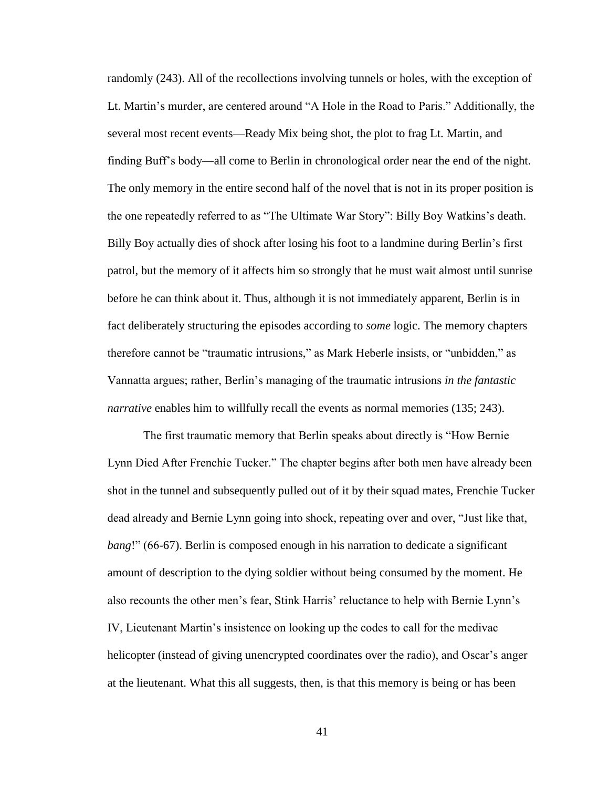randomly (243). All of the recollections involving tunnels or holes, with the exception of Lt. Martin"s murder, are centered around "A Hole in the Road to Paris." Additionally, the several most recent events—Ready Mix being shot, the plot to frag Lt. Martin, and finding Buff"s body—all come to Berlin in chronological order near the end of the night. The only memory in the entire second half of the novel that is not in its proper position is the one repeatedly referred to as "The Ultimate War Story": Billy Boy Watkins"s death. Billy Boy actually dies of shock after losing his foot to a landmine during Berlin"s first patrol, but the memory of it affects him so strongly that he must wait almost until sunrise before he can think about it. Thus, although it is not immediately apparent, Berlin is in fact deliberately structuring the episodes according to *some* logic. The memory chapters therefore cannot be "traumatic intrusions," as Mark Heberle insists, or "unbidden," as Vannatta argues; rather, Berlin"s managing of the traumatic intrusions *in the fantastic narrative* enables him to willfully recall the events as normal memories (135; 243).

The first traumatic memory that Berlin speaks about directly is "How Bernie Lynn Died After Frenchie Tucker." The chapter begins after both men have already been shot in the tunnel and subsequently pulled out of it by their squad mates, Frenchie Tucker dead already and Bernie Lynn going into shock, repeating over and over, "Just like that, *bang*!" (66-67). Berlin is composed enough in his narration to dedicate a significant amount of description to the dying soldier without being consumed by the moment. He also recounts the other men"s fear, Stink Harris" reluctance to help with Bernie Lynn"s IV, Lieutenant Martin"s insistence on looking up the codes to call for the medivac helicopter (instead of giving unencrypted coordinates over the radio), and Oscar's anger at the lieutenant. What this all suggests, then, is that this memory is being or has been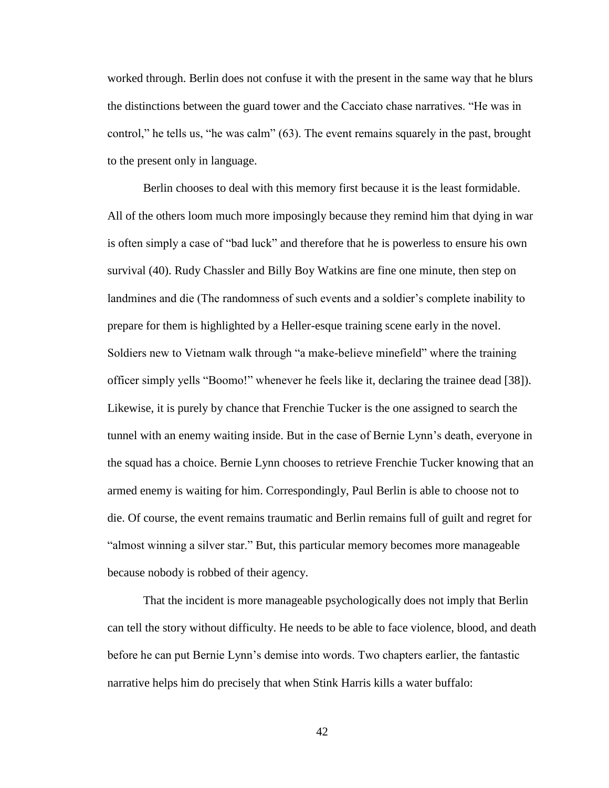worked through. Berlin does not confuse it with the present in the same way that he blurs the distinctions between the guard tower and the Cacciato chase narratives. "He was in control," he tells us, "he was calm" (63). The event remains squarely in the past, brought to the present only in language.

Berlin chooses to deal with this memory first because it is the least formidable. All of the others loom much more imposingly because they remind him that dying in war is often simply a case of "bad luck" and therefore that he is powerless to ensure his own survival (40). Rudy Chassler and Billy Boy Watkins are fine one minute, then step on landmines and die (The randomness of such events and a soldier"s complete inability to prepare for them is highlighted by a Heller-esque training scene early in the novel. Soldiers new to Vietnam walk through "a make-believe minefield" where the training officer simply yells "Boomo!" whenever he feels like it, declaring the trainee dead [38]). Likewise, it is purely by chance that Frenchie Tucker is the one assigned to search the tunnel with an enemy waiting inside. But in the case of Bernie Lynn"s death, everyone in the squad has a choice. Bernie Lynn chooses to retrieve Frenchie Tucker knowing that an armed enemy is waiting for him. Correspondingly, Paul Berlin is able to choose not to die. Of course, the event remains traumatic and Berlin remains full of guilt and regret for "almost winning a silver star." But, this particular memory becomes more manageable because nobody is robbed of their agency.

That the incident is more manageable psychologically does not imply that Berlin can tell the story without difficulty. He needs to be able to face violence, blood, and death before he can put Bernie Lynn"s demise into words. Two chapters earlier, the fantastic narrative helps him do precisely that when Stink Harris kills a water buffalo: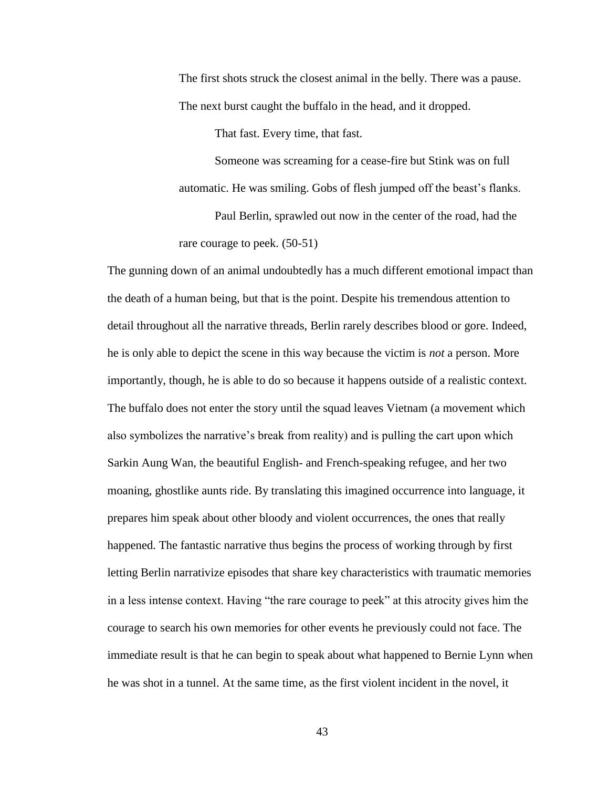The first shots struck the closest animal in the belly. There was a pause. The next burst caught the buffalo in the head, and it dropped.

That fast. Every time, that fast.

Someone was screaming for a cease-fire but Stink was on full automatic. He was smiling. Gobs of flesh jumped off the beast's flanks.

Paul Berlin, sprawled out now in the center of the road, had the rare courage to peek. (50-51)

The gunning down of an animal undoubtedly has a much different emotional impact than the death of a human being, but that is the point. Despite his tremendous attention to detail throughout all the narrative threads, Berlin rarely describes blood or gore. Indeed, he is only able to depict the scene in this way because the victim is *not* a person. More importantly, though, he is able to do so because it happens outside of a realistic context. The buffalo does not enter the story until the squad leaves Vietnam (a movement which also symbolizes the narrative"s break from reality) and is pulling the cart upon which Sarkin Aung Wan, the beautiful English- and French-speaking refugee, and her two moaning, ghostlike aunts ride. By translating this imagined occurrence into language, it prepares him speak about other bloody and violent occurrences, the ones that really happened. The fantastic narrative thus begins the process of working through by first letting Berlin narrativize episodes that share key characteristics with traumatic memories in a less intense context. Having "the rare courage to peek" at this atrocity gives him the courage to search his own memories for other events he previously could not face. The immediate result is that he can begin to speak about what happened to Bernie Lynn when he was shot in a tunnel. At the same time, as the first violent incident in the novel, it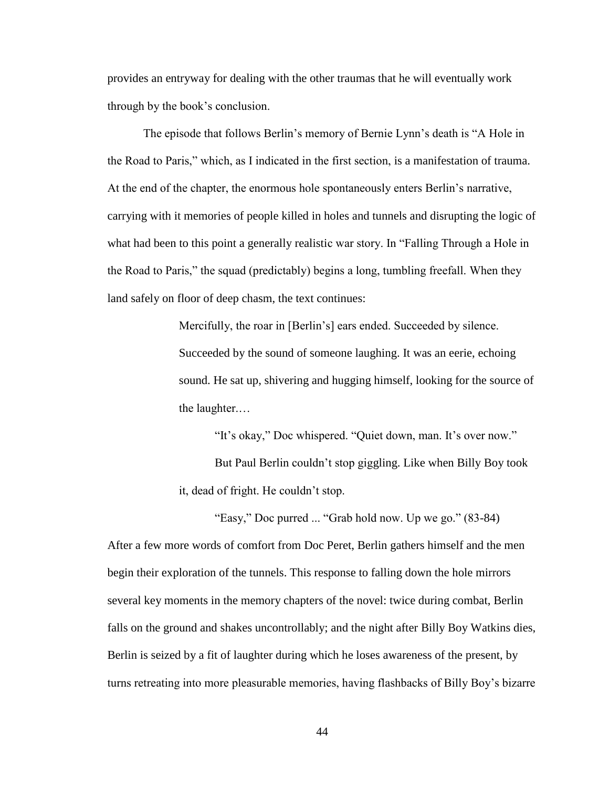provides an entryway for dealing with the other traumas that he will eventually work through by the book"s conclusion.

The episode that follows Berlin"s memory of Bernie Lynn"s death is "A Hole in the Road to Paris," which, as I indicated in the first section, is a manifestation of trauma. At the end of the chapter, the enormous hole spontaneously enters Berlin"s narrative, carrying with it memories of people killed in holes and tunnels and disrupting the logic of what had been to this point a generally realistic war story. In "Falling Through a Hole in the Road to Paris," the squad (predictably) begins a long, tumbling freefall. When they land safely on floor of deep chasm, the text continues:

> Mercifully, the roar in [Berlin's] ears ended. Succeeded by silence. Succeeded by the sound of someone laughing. It was an eerie, echoing sound. He sat up, shivering and hugging himself, looking for the source of the laughter.…

"It's okay," Doc whispered. "Quiet down, man. It's over now." But Paul Berlin couldn"t stop giggling. Like when Billy Boy took it, dead of fright. He couldn"t stop.

"Easy," Doc purred ... "Grab hold now. Up we go." (83-84) After a few more words of comfort from Doc Peret, Berlin gathers himself and the men begin their exploration of the tunnels. This response to falling down the hole mirrors several key moments in the memory chapters of the novel: twice during combat, Berlin falls on the ground and shakes uncontrollably; and the night after Billy Boy Watkins dies, Berlin is seized by a fit of laughter during which he loses awareness of the present, by turns retreating into more pleasurable memories, having flashbacks of Billy Boy"s bizarre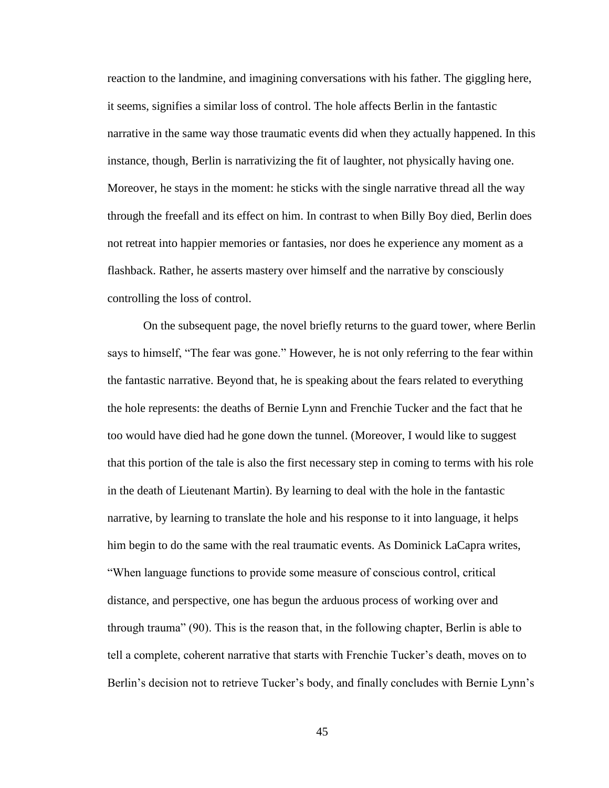reaction to the landmine, and imagining conversations with his father. The giggling here, it seems, signifies a similar loss of control. The hole affects Berlin in the fantastic narrative in the same way those traumatic events did when they actually happened. In this instance, though, Berlin is narrativizing the fit of laughter, not physically having one. Moreover, he stays in the moment: he sticks with the single narrative thread all the way through the freefall and its effect on him. In contrast to when Billy Boy died, Berlin does not retreat into happier memories or fantasies, nor does he experience any moment as a flashback. Rather, he asserts mastery over himself and the narrative by consciously controlling the loss of control.

On the subsequent page, the novel briefly returns to the guard tower, where Berlin says to himself, "The fear was gone." However, he is not only referring to the fear within the fantastic narrative. Beyond that, he is speaking about the fears related to everything the hole represents: the deaths of Bernie Lynn and Frenchie Tucker and the fact that he too would have died had he gone down the tunnel. (Moreover, I would like to suggest that this portion of the tale is also the first necessary step in coming to terms with his role in the death of Lieutenant Martin). By learning to deal with the hole in the fantastic narrative, by learning to translate the hole and his response to it into language, it helps him begin to do the same with the real traumatic events. As Dominick LaCapra writes, "When language functions to provide some measure of conscious control, critical distance, and perspective, one has begun the arduous process of working over and through trauma" (90). This is the reason that, in the following chapter, Berlin is able to tell a complete, coherent narrative that starts with Frenchie Tucker"s death, moves on to Berlin's decision not to retrieve Tucker's body, and finally concludes with Bernie Lynn's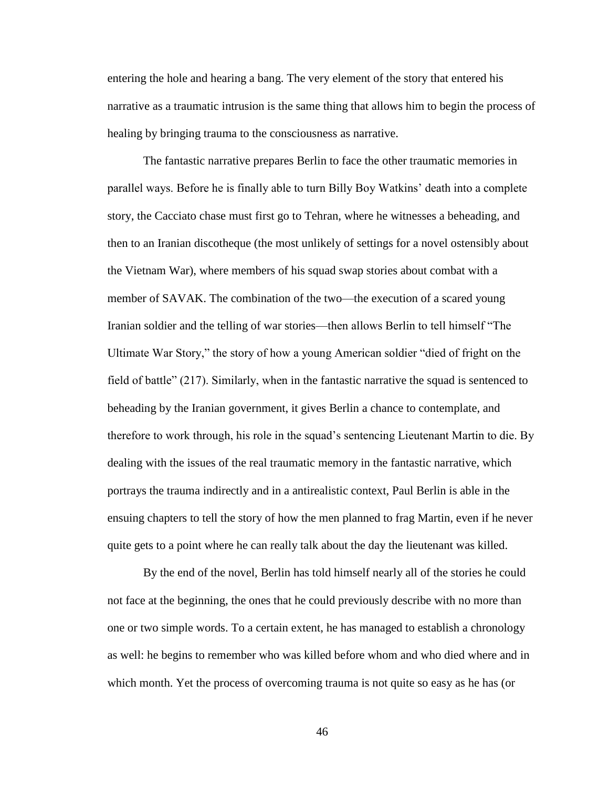entering the hole and hearing a bang. The very element of the story that entered his narrative as a traumatic intrusion is the same thing that allows him to begin the process of healing by bringing trauma to the consciousness as narrative.

The fantastic narrative prepares Berlin to face the other traumatic memories in parallel ways. Before he is finally able to turn Billy Boy Watkins" death into a complete story, the Cacciato chase must first go to Tehran, where he witnesses a beheading, and then to an Iranian discotheque (the most unlikely of settings for a novel ostensibly about the Vietnam War), where members of his squad swap stories about combat with a member of SAVAK. The combination of the two—the execution of a scared young Iranian soldier and the telling of war stories—then allows Berlin to tell himself "The Ultimate War Story," the story of how a young American soldier "died of fright on the field of battle" (217). Similarly, when in the fantastic narrative the squad is sentenced to beheading by the Iranian government, it gives Berlin a chance to contemplate, and therefore to work through, his role in the squad"s sentencing Lieutenant Martin to die. By dealing with the issues of the real traumatic memory in the fantastic narrative, which portrays the trauma indirectly and in a antirealistic context, Paul Berlin is able in the ensuing chapters to tell the story of how the men planned to frag Martin, even if he never quite gets to a point where he can really talk about the day the lieutenant was killed.

By the end of the novel, Berlin has told himself nearly all of the stories he could not face at the beginning, the ones that he could previously describe with no more than one or two simple words. To a certain extent, he has managed to establish a chronology as well: he begins to remember who was killed before whom and who died where and in which month. Yet the process of overcoming trauma is not quite so easy as he has (or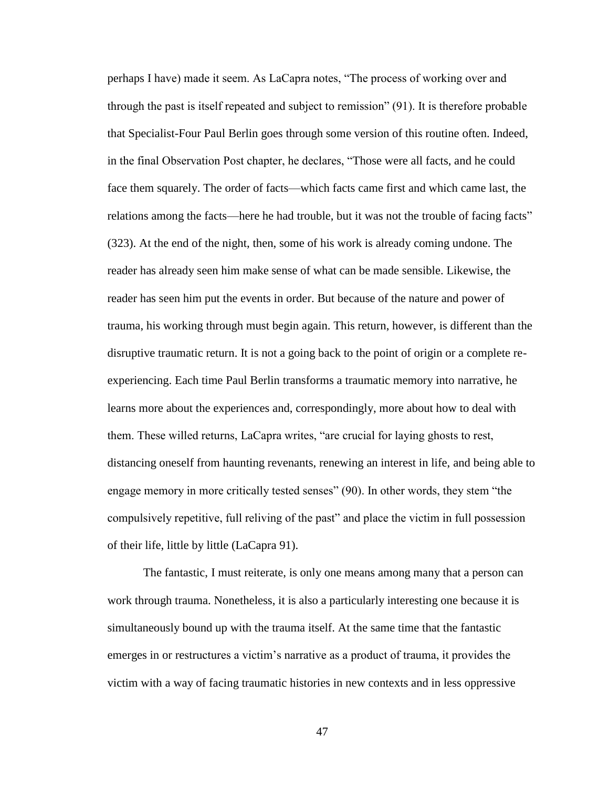perhaps I have) made it seem. As LaCapra notes, "The process of working over and through the past is itself repeated and subject to remission" (91). It is therefore probable that Specialist-Four Paul Berlin goes through some version of this routine often. Indeed, in the final Observation Post chapter, he declares, "Those were all facts, and he could face them squarely. The order of facts—which facts came first and which came last, the relations among the facts—here he had trouble, but it was not the trouble of facing facts" (323). At the end of the night, then, some of his work is already coming undone. The reader has already seen him make sense of what can be made sensible. Likewise, the reader has seen him put the events in order. But because of the nature and power of trauma, his working through must begin again. This return, however, is different than the disruptive traumatic return. It is not a going back to the point of origin or a complete reexperiencing. Each time Paul Berlin transforms a traumatic memory into narrative, he learns more about the experiences and, correspondingly, more about how to deal with them. These willed returns, LaCapra writes, "are crucial for laying ghosts to rest, distancing oneself from haunting revenants, renewing an interest in life, and being able to engage memory in more critically tested senses" (90). In other words, they stem "the compulsively repetitive, full reliving of the past" and place the victim in full possession of their life, little by little (LaCapra 91).

The fantastic, I must reiterate, is only one means among many that a person can work through trauma. Nonetheless, it is also a particularly interesting one because it is simultaneously bound up with the trauma itself. At the same time that the fantastic emerges in or restructures a victim"s narrative as a product of trauma, it provides the victim with a way of facing traumatic histories in new contexts and in less oppressive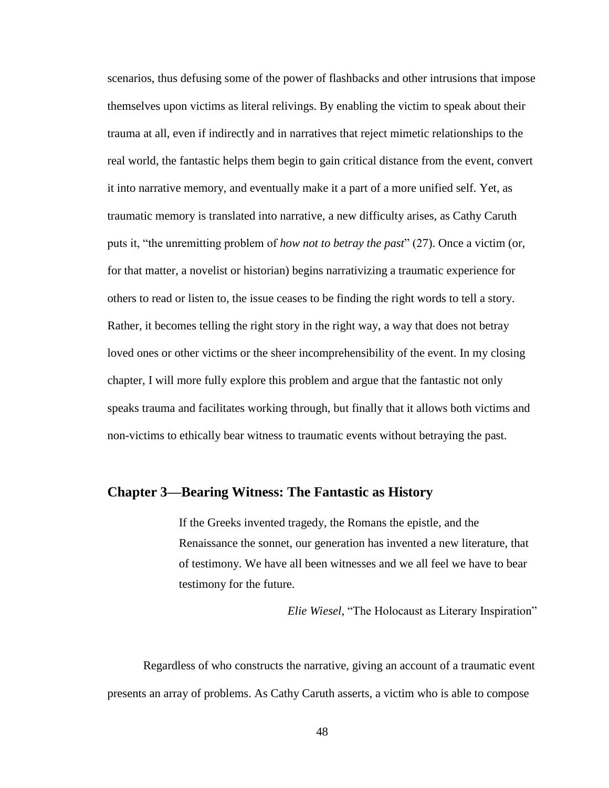scenarios, thus defusing some of the power of flashbacks and other intrusions that impose themselves upon victims as literal relivings. By enabling the victim to speak about their trauma at all, even if indirectly and in narratives that reject mimetic relationships to the real world, the fantastic helps them begin to gain critical distance from the event, convert it into narrative memory, and eventually make it a part of a more unified self. Yet, as traumatic memory is translated into narrative, a new difficulty arises, as Cathy Caruth puts it, "the unremitting problem of *how not to betray the past*" (27). Once a victim (or, for that matter, a novelist or historian) begins narrativizing a traumatic experience for others to read or listen to, the issue ceases to be finding the right words to tell a story. Rather, it becomes telling the right story in the right way, a way that does not betray loved ones or other victims or the sheer incomprehensibility of the event. In my closing chapter, I will more fully explore this problem and argue that the fantastic not only speaks trauma and facilitates working through, but finally that it allows both victims and non-victims to ethically bear witness to traumatic events without betraying the past.

### **Chapter 3—Bearing Witness: The Fantastic as History**

If the Greeks invented tragedy, the Romans the epistle, and the Renaissance the sonnet, our generation has invented a new literature, that of testimony. We have all been witnesses and we all feel we have to bear testimony for the future.

*Elie Wiesel,* "The Holocaust as Literary Inspiration"

Regardless of who constructs the narrative, giving an account of a traumatic event presents an array of problems. As Cathy Caruth asserts, a victim who is able to compose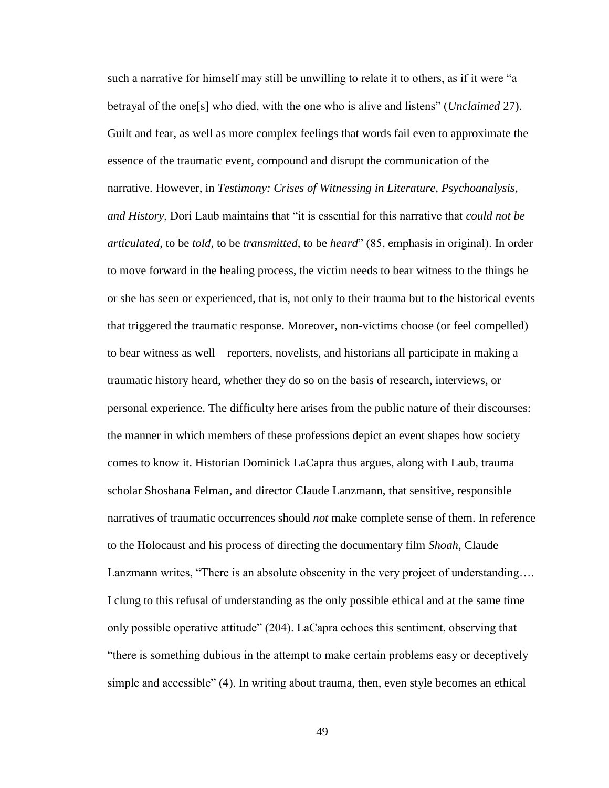such a narrative for himself may still be unwilling to relate it to others, as if it were "a betrayal of the one[s] who died, with the one who is alive and listens" (*Unclaimed* 27). Guilt and fear, as well as more complex feelings that words fail even to approximate the essence of the traumatic event, compound and disrupt the communication of the narrative. However, in *Testimony: Crises of Witnessing in Literature, Psychoanalysis, and History*, Dori Laub maintains that "it is essential for this narrative that *could not be articulated*, to be *told*, to be *transmitted*, to be *heard*" (85, emphasis in original). In order to move forward in the healing process, the victim needs to bear witness to the things he or she has seen or experienced, that is, not only to their trauma but to the historical events that triggered the traumatic response. Moreover, non-victims choose (or feel compelled) to bear witness as well—reporters, novelists, and historians all participate in making a traumatic history heard, whether they do so on the basis of research, interviews, or personal experience. The difficulty here arises from the public nature of their discourses: the manner in which members of these professions depict an event shapes how society comes to know it. Historian Dominick LaCapra thus argues, along with Laub, trauma scholar Shoshana Felman, and director Claude Lanzmann, that sensitive, responsible narratives of traumatic occurrences should *not* make complete sense of them. In reference to the Holocaust and his process of directing the documentary film *Shoah*, Claude Lanzmann writes, "There is an absolute obscenity in the very project of understanding…. I clung to this refusal of understanding as the only possible ethical and at the same time only possible operative attitude" (204). LaCapra echoes this sentiment, observing that "there is something dubious in the attempt to make certain problems easy or deceptively simple and accessible" (4). In writing about trauma, then, even style becomes an ethical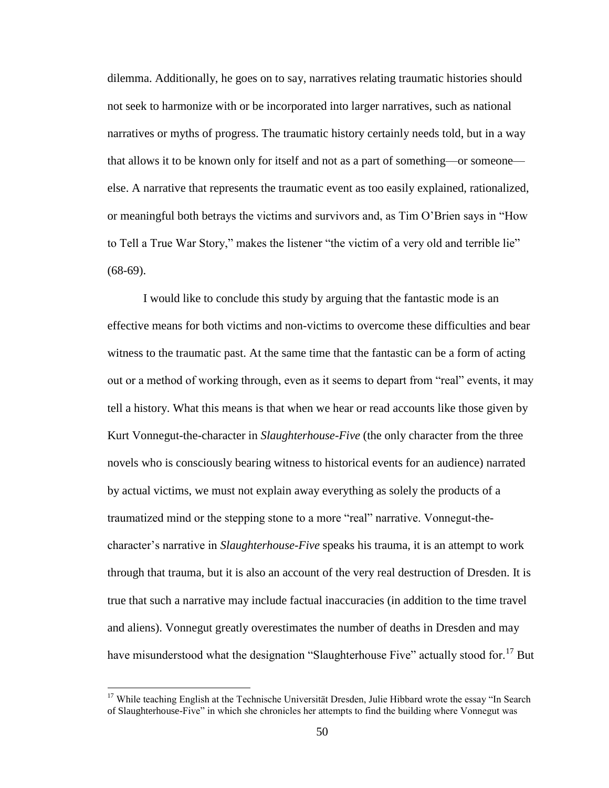dilemma. Additionally, he goes on to say, narratives relating traumatic histories should not seek to harmonize with or be incorporated into larger narratives, such as national narratives or myths of progress. The traumatic history certainly needs told, but in a way that allows it to be known only for itself and not as a part of something—or someone else. A narrative that represents the traumatic event as too easily explained, rationalized, or meaningful both betrays the victims and survivors and, as Tim O"Brien says in "How to Tell a True War Story," makes the listener "the victim of a very old and terrible lie"  $(68-69)$ .

I would like to conclude this study by arguing that the fantastic mode is an effective means for both victims and non-victims to overcome these difficulties and bear witness to the traumatic past. At the same time that the fantastic can be a form of acting out or a method of working through, even as it seems to depart from "real" events, it may tell a history. What this means is that when we hear or read accounts like those given by Kurt Vonnegut-the-character in *Slaughterhouse-Five* (the only character from the three novels who is consciously bearing witness to historical events for an audience) narrated by actual victims, we must not explain away everything as solely the products of a traumatized mind or the stepping stone to a more "real" narrative. Vonnegut-thecharacter"s narrative in *Slaughterhouse-Five* speaks his trauma, it is an attempt to work through that trauma, but it is also an account of the very real destruction of Dresden. It is true that such a narrative may include factual inaccuracies (in addition to the time travel and aliens). Vonnegut greatly overestimates the number of deaths in Dresden and may have misunderstood what the designation "Slaughterhouse Five" actually stood for.<sup>17</sup> But

<sup>&</sup>lt;sup>17</sup> While teaching English at the Technische Universität Dresden, Julie Hibbard wrote the essay "In Search of Slaughterhouse-Five" in which she chronicles her attempts to find the building where Vonnegut was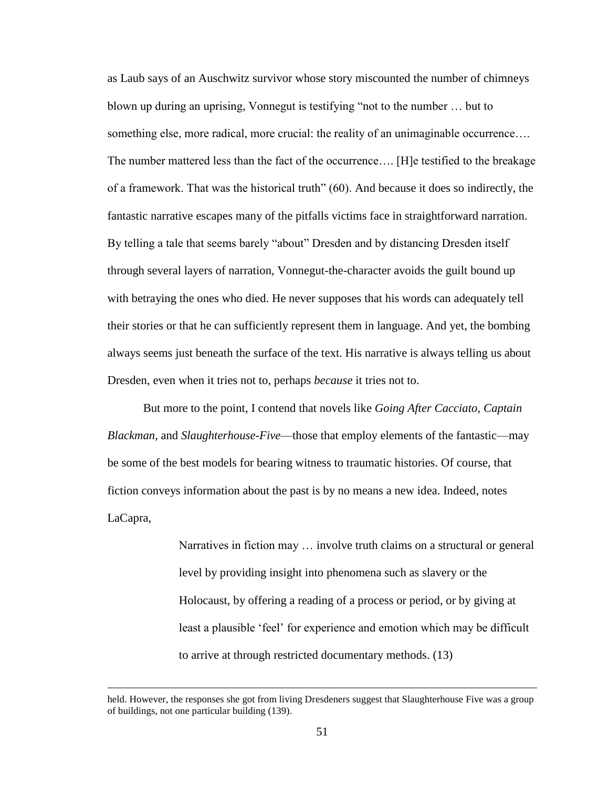as Laub says of an Auschwitz survivor whose story miscounted the number of chimneys blown up during an uprising, Vonnegut is testifying "not to the number … but to something else, more radical, more crucial: the reality of an unimaginable occurrence... The number mattered less than the fact of the occurrence…. [H]e testified to the breakage of a framework. That was the historical truth" (60). And because it does so indirectly, the fantastic narrative escapes many of the pitfalls victims face in straightforward narration. By telling a tale that seems barely "about" Dresden and by distancing Dresden itself through several layers of narration, Vonnegut-the-character avoids the guilt bound up with betraying the ones who died. He never supposes that his words can adequately tell their stories or that he can sufficiently represent them in language. And yet, the bombing always seems just beneath the surface of the text. His narrative is always telling us about Dresden, even when it tries not to, perhaps *because* it tries not to.

But more to the point, I contend that novels like *Going After Cacciato*, *Captain Blackman*, and *Slaughterhouse-Five*—those that employ elements of the fantastic—may be some of the best models for bearing witness to traumatic histories. Of course, that fiction conveys information about the past is by no means a new idea. Indeed, notes LaCapra,

> Narratives in fiction may … involve truth claims on a structural or general level by providing insight into phenomena such as slavery or the Holocaust, by offering a reading of a process or period, or by giving at least a plausible 'feel' for experience and emotion which may be difficult to arrive at through restricted documentary methods. (13)

held. However, the responses she got from living Dresdeners suggest that Slaughterhouse Five was a group of buildings, not one particular building (139).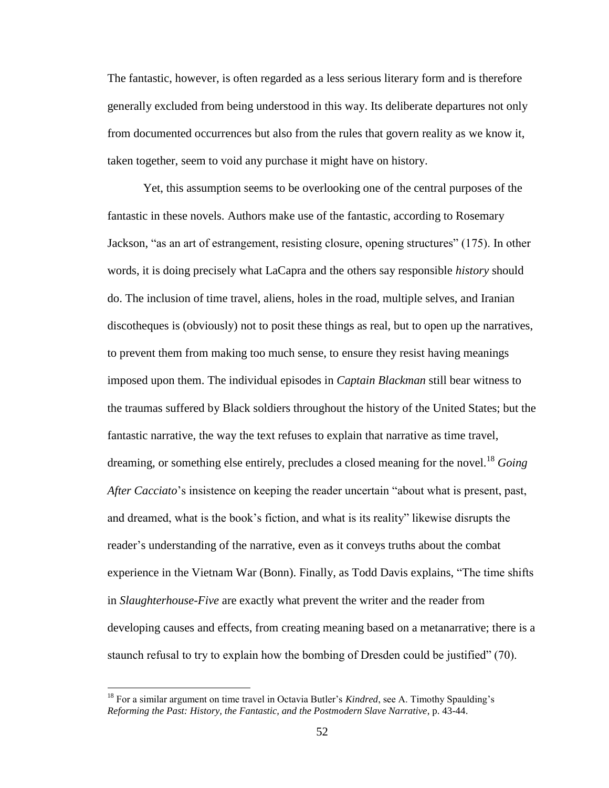The fantastic, however, is often regarded as a less serious literary form and is therefore generally excluded from being understood in this way. Its deliberate departures not only from documented occurrences but also from the rules that govern reality as we know it, taken together, seem to void any purchase it might have on history.

Yet, this assumption seems to be overlooking one of the central purposes of the fantastic in these novels. Authors make use of the fantastic, according to Rosemary Jackson, "as an art of estrangement, resisting closure, opening structures" (175). In other words, it is doing precisely what LaCapra and the others say responsible *history* should do. The inclusion of time travel, aliens, holes in the road, multiple selves, and Iranian discotheques is (obviously) not to posit these things as real, but to open up the narratives, to prevent them from making too much sense, to ensure they resist having meanings imposed upon them. The individual episodes in *Captain Blackman* still bear witness to the traumas suffered by Black soldiers throughout the history of the United States; but the fantastic narrative, the way the text refuses to explain that narrative as time travel, dreaming, or something else entirely, precludes a closed meaning for the novel.<sup>18</sup> *Going After Cacciato*"s insistence on keeping the reader uncertain "about what is present, past, and dreamed, what is the book"s fiction, and what is its reality" likewise disrupts the reader"s understanding of the narrative, even as it conveys truths about the combat experience in the Vietnam War (Bonn). Finally, as Todd Davis explains, "The time shifts in *Slaughterhouse-Five* are exactly what prevent the writer and the reader from developing causes and effects, from creating meaning based on a metanarrative; there is a staunch refusal to try to explain how the bombing of Dresden could be justified" (70).

<sup>&</sup>lt;sup>18</sup> For a similar argument on time travel in Octavia Butler's *Kindred*, see A. Timothy Spaulding's *Reforming the Past: History, the Fantastic, and the Postmodern Slave Narrative*, p. 43-44.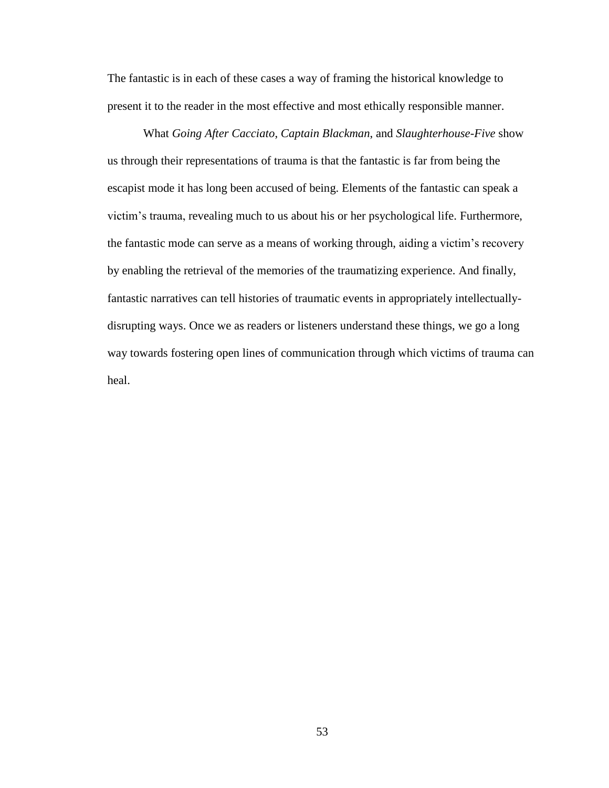The fantastic is in each of these cases a way of framing the historical knowledge to present it to the reader in the most effective and most ethically responsible manner.

What *Going After Cacciato*, *Captain Blackman*, and *Slaughterhouse-Five* show us through their representations of trauma is that the fantastic is far from being the escapist mode it has long been accused of being. Elements of the fantastic can speak a victim"s trauma, revealing much to us about his or her psychological life. Furthermore, the fantastic mode can serve as a means of working through, aiding a victim"s recovery by enabling the retrieval of the memories of the traumatizing experience. And finally, fantastic narratives can tell histories of traumatic events in appropriately intellectuallydisrupting ways. Once we as readers or listeners understand these things, we go a long way towards fostering open lines of communication through which victims of trauma can heal.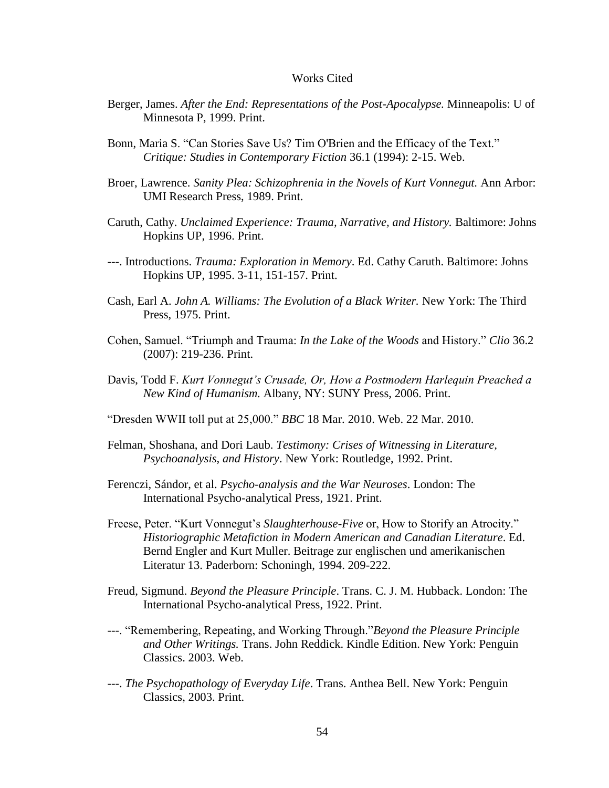### Works Cited

- Berger, James. *After the End: Representations of the Post-Apocalypse.* Minneapolis: U of Minnesota P, 1999. Print.
- Bonn, Maria S. "Can Stories Save Us? Tim O'Brien and the Efficacy of the Text." *Critique: Studies in Contemporary Fiction* 36.1 (1994): 2-15. Web.
- Broer, Lawrence. *Sanity Plea: Schizophrenia in the Novels of Kurt Vonnegut.* Ann Arbor: UMI Research Press, 1989. Print.
- Caruth, Cathy. *Unclaimed Experience: Trauma, Narrative, and History.* Baltimore: Johns Hopkins UP, 1996. Print.
- ---. Introductions. *Trauma: Exploration in Memory*. Ed. Cathy Caruth. Baltimore: Johns Hopkins UP, 1995. 3-11, 151-157. Print.
- Cash, Earl A. *John A. Williams: The Evolution of a Black Writer.* New York: The Third Press, 1975. Print.
- Cohen, Samuel. "Triumph and Trauma: *In the Lake of the Woods* and History." *Clio* 36.2 (2007): 219-236. Print.
- Davis, Todd F. *Kurt Vonnegut's Crusade, Or, How a Postmodern Harlequin Preached a New Kind of Humanism.* Albany, NY: SUNY Press, 2006. Print.
- "Dresden WWII toll put at 25,000." *BBC* 18 Mar. 2010. Web. 22 Mar. 2010.
- Felman, Shoshana, and Dori Laub. *Testimony: Crises of Witnessing in Literature, Psychoanalysis, and History*. New York: Routledge, 1992. Print.
- Ferenczi, Sándor, et al. *Psycho-analysis and the War Neuroses*. London: The International Psycho-analytical Press, 1921. Print.
- Freese, Peter. "Kurt Vonnegut's *Slaughterhouse-Five* or, How to Storify an Atrocity." *Historiographic Metafiction in Modern American and Canadian Literature*. Ed. Bernd Engler and Kurt Muller. Beitrage zur englischen und amerikanischen Literatur 13. Paderborn: Schoningh, 1994. 209-222.
- Freud, Sigmund. *Beyond the Pleasure Principle*. Trans. C. J. M. Hubback. London: The International Psycho-analytical Press, 1922. Print.
- ---. "Remembering, Repeating, and Working Through."*Beyond the Pleasure Principle and Other Writings.* Trans. John Reddick. Kindle Edition. New York: Penguin Classics. 2003. Web.
- ---. *The Psychopathology of Everyday Life*. Trans. Anthea Bell. New York: Penguin Classics, 2003. Print.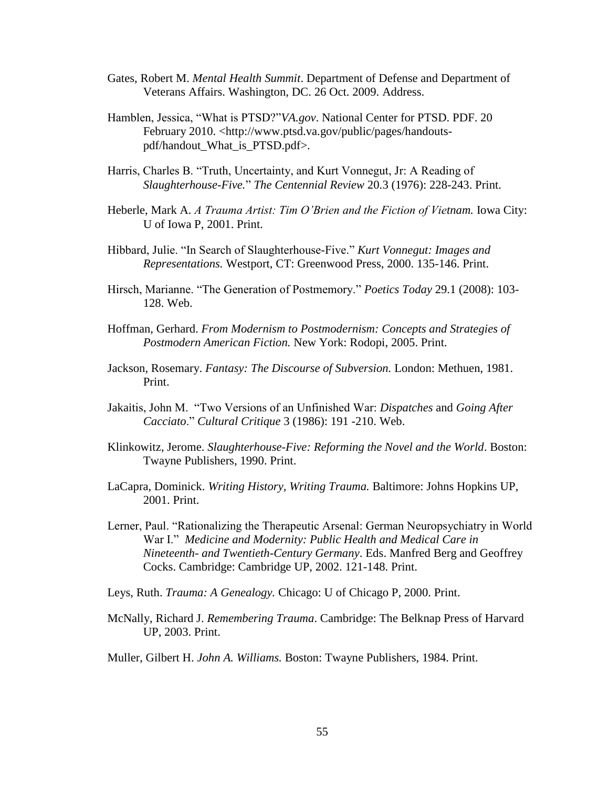- Gates, Robert M. *Mental Health Summit*. Department of Defense and Department of Veterans Affairs. Washington, DC. 26 Oct. 2009. Address.
- Hamblen, Jessica, "What is PTSD?"*VA.gov*. National Center for PTSD. PDF. 20 February 2010. <http://www.ptsd.va.gov/public/pages/handoutspdf/handout\_What\_is\_PTSD.pdf>.
- Harris, Charles B. "Truth, Uncertainty, and Kurt Vonnegut, Jr: A Reading of *Slaughterhouse-Five.*" *The Centennial Review* 20.3 (1976): 228-243. Print.
- Heberle, Mark A. *A Trauma Artist: Tim O'Brien and the Fiction of Vietnam.* Iowa City: U of Iowa P, 2001. Print.
- Hibbard, Julie. "In Search of Slaughterhouse-Five." *Kurt Vonnegut: Images and Representations.* Westport, CT: Greenwood Press, 2000. 135-146. Print.
- Hirsch, Marianne. "The Generation of Postmemory." *Poetics Today* 29.1 (2008): 103- 128. Web.
- Hoffman, Gerhard. *From Modernism to Postmodernism: Concepts and Strategies of Postmodern American Fiction.* New York: Rodopi, 2005. Print.
- Jackson, Rosemary. *Fantasy: The Discourse of Subversion.* London: Methuen, 1981. Print.
- Jakaitis, John M. "Two Versions of an Unfinished War: *Dispatches* and *Going After Cacciato*." *Cultural Critique* 3 (1986): 191 -210. Web.
- Klinkowitz, Jerome. *Slaughterhouse-Five: Reforming the Novel and the World*. Boston: Twayne Publishers, 1990. Print.
- LaCapra, Dominick. *Writing History, Writing Trauma.* Baltimore: Johns Hopkins UP, 2001. Print.
- Lerner, Paul. "Rationalizing the Therapeutic Arsenal: German Neuropsychiatry in World War I." *Medicine and Modernity: Public Health and Medical Care in Nineteenth- and Twentieth-Century Germany*. Eds. Manfred Berg and Geoffrey Cocks. Cambridge: Cambridge UP, 2002. 121-148. Print.
- Leys, Ruth. *Trauma: A Genealogy.* Chicago: U of Chicago P, 2000. Print.
- McNally, Richard J. *Remembering Trauma*. Cambridge: The Belknap Press of Harvard UP, 2003. Print.
- Muller, Gilbert H. *John A. Williams.* Boston: Twayne Publishers, 1984. Print.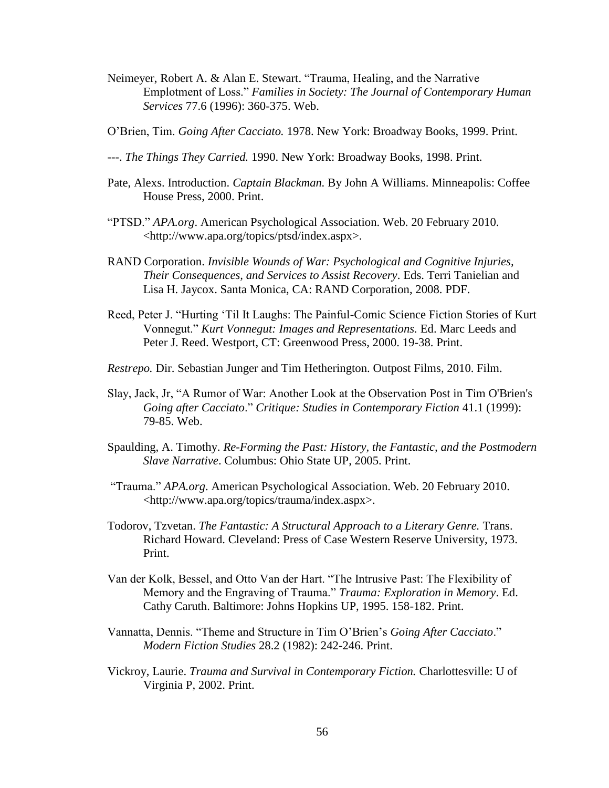- Neimeyer, Robert A. & Alan E. Stewart. "Trauma, Healing, and the Narrative Emplotment of Loss." *Families in Society: The Journal of Contemporary Human Services* 77.6 (1996): 360-375. Web.
- O"Brien, Tim. *Going After Cacciato.* 1978. New York: Broadway Books, 1999. Print.
- ---. *The Things They Carried.* 1990. New York: Broadway Books, 1998. Print.
- Pate, Alexs. Introduction. *Captain Blackman.* By John A Williams. Minneapolis: Coffee House Press, 2000. Print.
- "PTSD." *APA.org*. American Psychological Association. Web. 20 February 2010. <http://www.apa.org/topics/ptsd/index.aspx>.
- RAND Corporation. *Invisible Wounds of War: Psychological and Cognitive Injuries, Their Consequences, and Services to Assist Recovery*. Eds. Terri Tanielian and Lisa H. Jaycox. Santa Monica, CA: RAND Corporation, 2008. PDF.
- Reed, Peter J. "Hurting "Til It Laughs: The Painful-Comic Science Fiction Stories of Kurt Vonnegut." *Kurt Vonnegut: Images and Representations.* Ed. Marc Leeds and Peter J. Reed. Westport, CT: Greenwood Press, 2000. 19-38. Print.
- *Restrepo.* Dir. Sebastian Junger and Tim Hetherington. Outpost Films, 2010. Film.
- Slay, Jack, Jr, "A Rumor of War: Another Look at the Observation Post in Tim O'Brien's *Going after Cacciato*." *Critique: Studies in Contemporary Fiction* 41.1 (1999): 79-85. Web.
- Spaulding, A. Timothy. *Re-Forming the Past: History, the Fantastic, and the Postmodern Slave Narrative*. Columbus: Ohio State UP, 2005. Print.
- "Trauma." *APA.org*. American Psychological Association. Web. 20 February 2010. <http://www.apa.org/topics/trauma/index.aspx>.
- Todorov, Tzvetan. *The Fantastic: A Structural Approach to a Literary Genre.* Trans. Richard Howard. Cleveland: Press of Case Western Reserve University, 1973. Print.
- Van der Kolk, Bessel, and Otto Van der Hart. "The Intrusive Past: The Flexibility of Memory and the Engraving of Trauma." *Trauma: Exploration in Memory*. Ed. Cathy Caruth. Baltimore: Johns Hopkins UP, 1995. 158-182. Print.
- Vannatta, Dennis. "Theme and Structure in Tim O"Brien"s *Going After Cacciato*." *Modern Fiction Studies* 28.2 (1982): 242-246. Print.
- Vickroy, Laurie. *Trauma and Survival in Contemporary Fiction.* Charlottesville: U of Virginia P, 2002. Print.